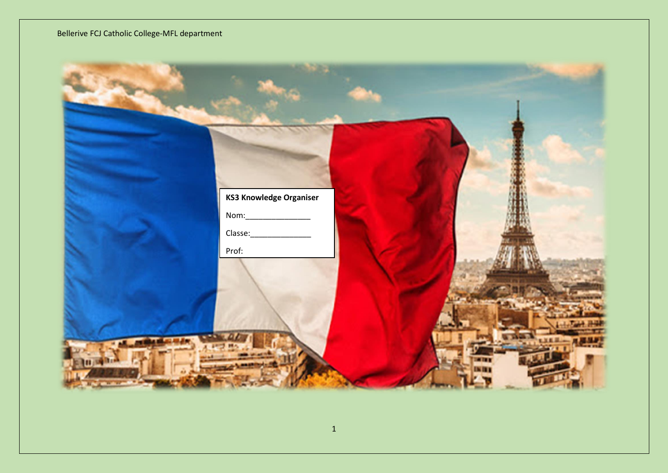| <b>KS3 Knowledge Organiser</b> |  |
|--------------------------------|--|
|                                |  |
| Prof:                          |  |
|                                |  |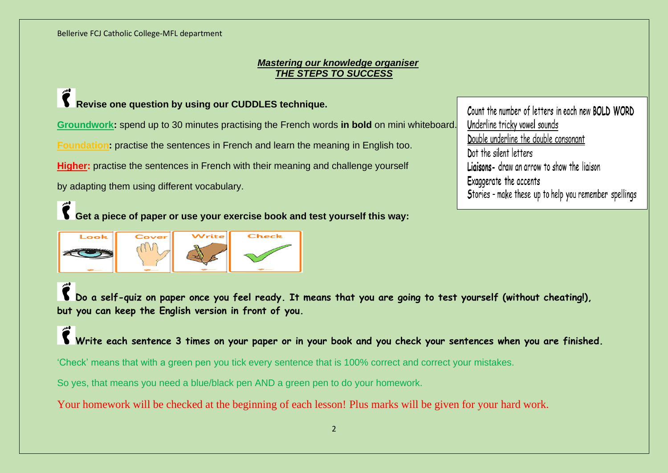#### *Mastering our knowledge organiser THE STEPS TO SUCCESS*

# **Revise one question by using our CUDDLES technique.**

**Groundwork:** spend up to 30 minutes practising the French words **in bold** on mini whiteboard.

**Foundation:** practise the sentences in French and learn the meaning in English too.

**Higher:** practise the sentences in French with their meaning and challenge yourself

by adapting them using different vocabulary.

**Get a piece of paper or use your exercise book and test yourself this way:**



Count the number of letters in each new BOLD WORD Underline tricky vowel sounds Double underline the double consonant Dot the silent letters Ligisons- draw an arrow to show the ligison Exaggerate the accents Stories - make these up to help you remember spellings

**Do a self-quiz on paper once you feel ready. It means that you are going to test yourself (without cheating!), but you can keep the English version in front of you.**

**Write each sentence 3 times on your paper or in your book and you check your sentences when you are finished.**

'Check' means that with a green pen you tick every sentence that is 100% correct and correct your mistakes.

So yes, that means you need a blue/black pen AND a green pen to do your homework.

Your homework will be checked at the beginning of each lesson! Plus marks will be given for your hard work.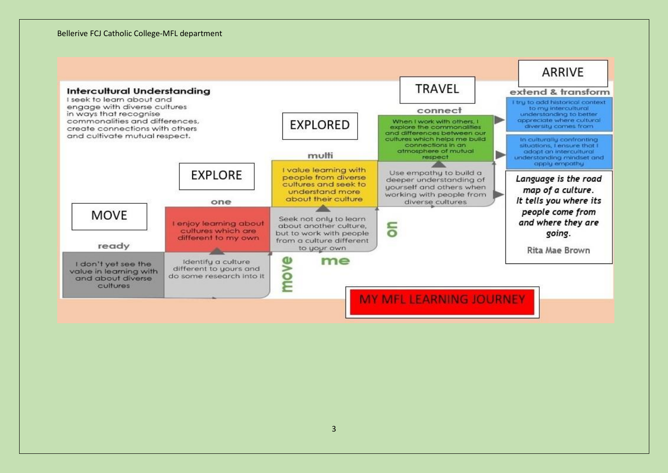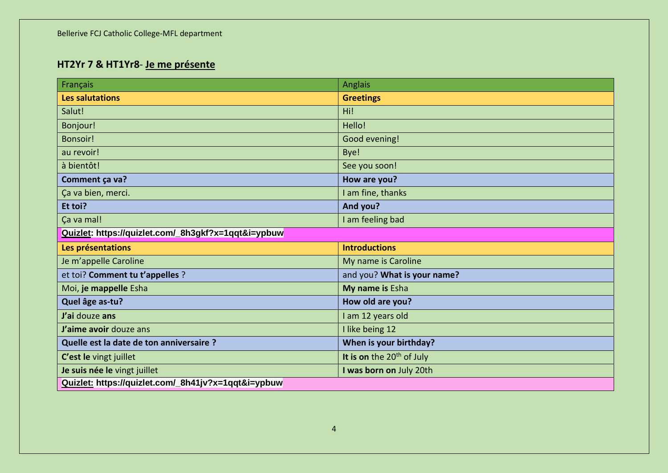# **HT2Yr 7 & HT1Yr8**- **Je me présente**

| Français                                            | Anglais                     |
|-----------------------------------------------------|-----------------------------|
| Les salutations                                     | <b>Greetings</b>            |
| Salut!                                              | Hi!                         |
| Bonjour!                                            | Hello!                      |
| Bonsoir!                                            | Good evening!               |
| au revoir!                                          | Bye!                        |
| à bientôt!                                          | See you soon!               |
| Comment ça va?                                      | How are you?                |
| Ça va bien, merci.                                  | I am fine, thanks           |
| Et toi?                                             | And you?                    |
| Ça va mal!                                          | I am feeling bad            |
| Quizlet: https://quizlet.com/_8h3gkf?x=1qqt&i=ypbuw |                             |
| Les présentations                                   | <b>Introductions</b>        |
| Je m'appelle Caroline                               | My name is Caroline         |
| et toi? Comment tu t'appelles ?                     | and you? What is your name? |
| Moi, je mappelle Esha                               | My name is Esha             |
| Quel âge as-tu?                                     | How old are you?            |
| J'ai douze ans                                      | I am 12 years old           |
| J'aime avoir douze ans                              | I like being 12             |
| Quelle est la date de ton anniversaire ?            | When is your birthday?      |
| C'est le vingt juillet                              | It is on the $20th$ of July |
| Je suis née le vingt juillet                        | I was born on July 20th     |
| Quizlet: https://quizlet.com/_8h41jv?x=1qqt&i=ypbuw |                             |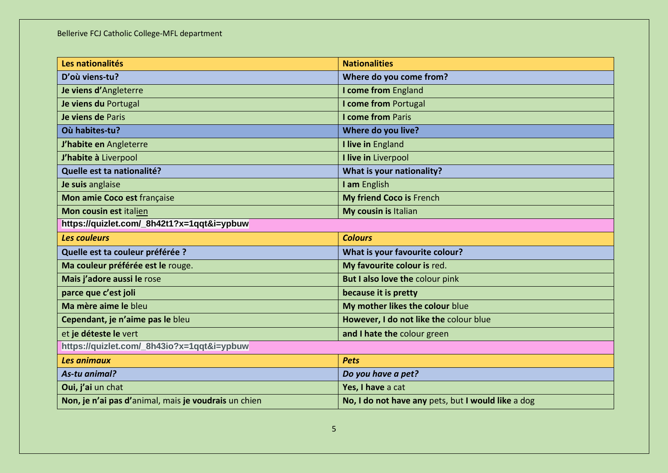| Les nationalités                           | <b>Nationalities</b>                   |
|--------------------------------------------|----------------------------------------|
| D'où viens-tu?                             | Where do you come from?                |
| Je viens d'Angleterre                      | I come from England                    |
| Je viens du Portugal                       | I come from Portugal                   |
| Je viens de Paris                          | <b>I come from Paris</b>               |
| Où habites-tu?                             | Where do you live?                     |
| J'habite en Angleterre                     | I live in England                      |
| J'habite à Liverpool                       | I live in Liverpool                    |
| Quelle est ta nationalité?                 | What is your nationality?              |
| Je suis anglaise                           | I am English                           |
| Mon amie Coco est française                | My friend Coco is French               |
| Mon cousin est italien                     | My cousin is Italian                   |
| https://quizlet.com/_8h42t1?x=1qqt&i=ypbuw |                                        |
| Les couleurs                               | <b>Colours</b>                         |
|                                            |                                        |
| Quelle est ta couleur préférée ?           | What is your favourite colour?         |
| Ma couleur préférée est le rouge.          | My favourite colour is red.            |
| Mais j'adore aussi le rose                 | But I also love the colour pink        |
| parce que c'est joli                       | because it is pretty                   |
| Ma mère aime le bleu                       | My mother likes the colour blue        |
| Cependant, je n'aime pas le bleu           | However, I do not like the colour blue |
| et je déteste le vert                      | and I hate the colour green            |
| https://quizlet.com/_8h43io?x=1qqt&i=ypbuw |                                        |
| Les animaux                                | <b>Pets</b>                            |
| As-tu animal?                              | Do you have a pet?                     |
| Oui, j'ai un chat                          | Yes, I have a cat                      |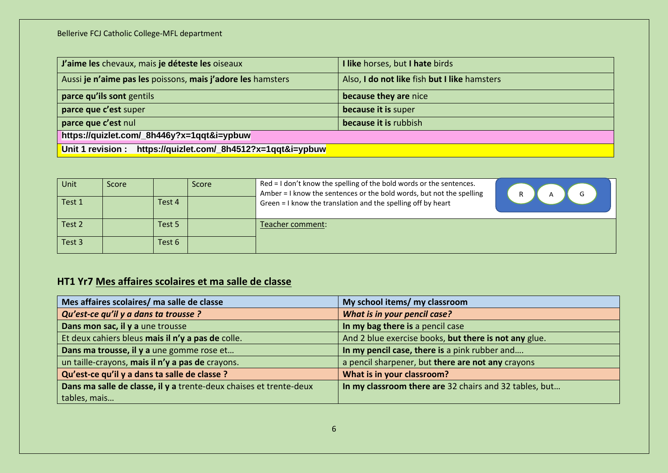| J'aime les chevaux, mais je déteste les oiseaux                 | I like horses, but I hate birds              |
|-----------------------------------------------------------------|----------------------------------------------|
| Aussi je n'aime pas les poissons, mais j'adore les hamsters     | Also, I do not like fish but I like hamsters |
| parce qu'ils sont gentils                                       | because they are nice                        |
| parce que c'est super                                           | because it is super                          |
| parce que c'est nul                                             | because it is rubbish                        |
| https://quizlet.com/_8h446y?x=1qqt&i=ypbuw                      |                                              |
| Unit 1 revision :<br>https://quizlet.com/_8h4512?x=1qqt&i=ypbuw |                                              |

| Unit   | Score |        | Score | Red = I don't know the spelling of the bold words or the sentences.<br>Amber = I know the sentences or the bold words, but not the spelling |  |
|--------|-------|--------|-------|---------------------------------------------------------------------------------------------------------------------------------------------|--|
| Test 1 |       | Test 4 |       | Green = I know the translation and the spelling off by heart                                                                                |  |
| Test 2 |       | Test 5 |       | Teacher comment:                                                                                                                            |  |
| Test 3 |       | Test 6 |       |                                                                                                                                             |  |

# **HT1 Yr7 Mes affaires scolaires et ma salle de classe**

| Mes affaires scolaires/ ma salle de classe                         | My school items/ my classroom                          |
|--------------------------------------------------------------------|--------------------------------------------------------|
| Qu'est-ce qu'il y a dans ta trousse ?                              | What is in your pencil case?                           |
| Dans mon sac, il y a une trousse                                   | In my bag there is a pencil case                       |
| Et deux cahiers bleus mais il n'y a pas de colle.                  | And 2 blue exercise books, but there is not any glue.  |
| Dans ma trousse, il y a une gomme rose et                          | In my pencil case, there is a pink rubber and          |
| un taille-crayons, mais il n'y a pas de crayons.                   | a pencil sharpener, but there are not any crayons      |
| Qu'est-ce qu'il y a dans ta salle de classe ?                      | What is in your classroom?                             |
| Dans ma salle de classe, il y a trente-deux chaises et trente-deux | In my classroom there are 32 chairs and 32 tables, but |
| tables, mais                                                       |                                                        |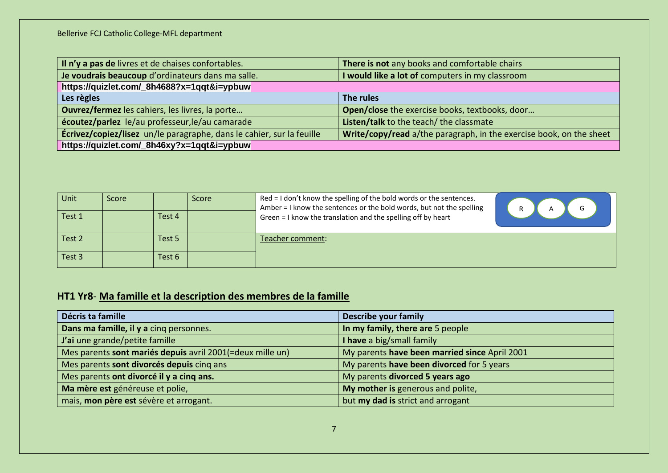| Il n'y a pas de livres et de chaises confortables.                           | There is not any books and comfortable chairs                       |  |
|------------------------------------------------------------------------------|---------------------------------------------------------------------|--|
| Je voudrais beaucoup d'ordinateurs dans ma salle.                            | I would like a lot of computers in my classroom                     |  |
| https://quizlet.com/_8h4688?x=1qqt&i=ypbuw                                   |                                                                     |  |
| Les règles                                                                   | The rules                                                           |  |
| Ouvrez/fermez les cahiers, les livres, la porte                              | Open/close the exercise books, textbooks, door                      |  |
| écoutez/parlez le/au professeur, le/au camarade                              | Listen/talk to the teach/ the classmate                             |  |
| <b>Écrivez/copiez/lisez</b> un/le paragraphe, dans le cahier, sur la feuille | Write/copy/read a/the paragraph, in the exercise book, on the sheet |  |
| https://quizlet.com/_8h46xy?x=1qqt&i=ypbuw                                   |                                                                     |  |

| Unit   | Score |        | Score | Red = I don't know the spelling of the bold words or the sentences.<br>Amber = I know the sentences or the bold words, but not the spelling | R |
|--------|-------|--------|-------|---------------------------------------------------------------------------------------------------------------------------------------------|---|
| Test 1 |       | Test 4 |       | Green = I know the translation and the spelling off by heart                                                                                |   |
| Test 2 |       | Test 5 |       | Feacher comment:                                                                                                                            |   |
| Test 3 |       | Test 6 |       |                                                                                                                                             |   |

# **HT1 Yr8**- **Ma famille et la description des membres de la famille**

| Décris ta famille                                         | <b>Describe your family</b>                   |
|-----------------------------------------------------------|-----------------------------------------------|
| Dans ma famille, il y a cinq personnes.                   | In my family, there are 5 people              |
| J'ai une grande/petite famille                            | I have a big/small family                     |
| Mes parents sont mariés depuis avril 2001(=deux mille un) | My parents have been married since April 2001 |
| Mes parents sont divorcés depuis cinq ans                 | My parents have been divorced for 5 years     |
| Mes parents ont divorcé il y a cinq ans.                  | My parents divorced 5 years ago               |
| Ma mère est généreuse et polie,                           | My mother is generous and polite,             |
| mais, mon père est sévère et arrogant.                    | but my dad is strict and arrogant             |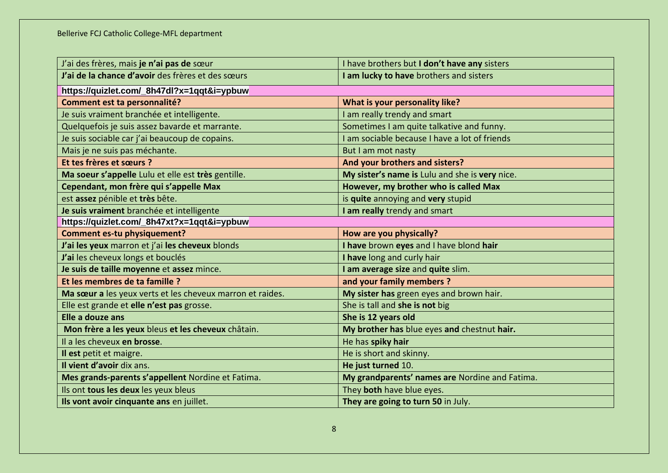| J'ai des frères, mais je n'ai pas de sœur                 | I have brothers but I don't have any sisters   |
|-----------------------------------------------------------|------------------------------------------------|
| J'ai de la chance d'avoir des frères et des sœurs         | I am lucky to have brothers and sisters        |
| https://quizlet.com/_8h47dl?x=1qqt&i=ypbuw                |                                                |
| Comment est ta personnalité?                              | What is your personality like?                 |
| Je suis vraiment branchée et intelligente.                | I am really trendy and smart                   |
| Quelquefois je suis assez bavarde et marrante.            | Sometimes I am quite talkative and funny.      |
| Je suis sociable car j'ai beaucoup de copains.            | I am sociable because I have a lot of friends  |
| Mais je ne suis pas méchante.                             | But I am mot nasty                             |
| Et tes frères et sœurs ?                                  | And your brothers and sisters?                 |
| Ma soeur s'appelle Lulu et elle est très gentille.        | My sister's name is Lulu and she is very nice. |
| Cependant, mon frère qui s'appelle Max                    | However, my brother who is called Max          |
| est assez pénible et très bête.                           | is quite annoying and very stupid              |
| Je suis vraiment branchée et intelligente                 | I am really trendy and smart                   |
| https://quizlet.com/_8h47xt?x=1qqt&i=ypbuw                |                                                |
| <b>Comment es-tu physiquement?</b>                        | How are you physically?                        |
| J'ai les yeux marron et j'ai les cheveux blonds           | I have brown eyes and I have blond hair        |
| J'ai les cheveux longs et bouclés                         | I have long and curly hair                     |
| Je suis de taille moyenne et assez mince.                 | I am average size and quite slim.              |
| Et les membres de ta famille ?                            | and your family members?                       |
| Ma sœur a les yeux verts et les cheveux marron et raides. | My sister has green eyes and brown hair.       |
| Elle est grande et elle n'est pas grosse.                 | She is tall and she is not big                 |
| Elle a douze ans                                          | She is 12 years old                            |
| Mon frère a les yeux bleus et les cheveux châtain.        | My brother has blue eyes and chestnut hair.    |
| Il a les cheveux en brosse.                               | He has spiky hair                              |
| Il est petit et maigre.                                   | He is short and skinny.                        |
| Il vient d'avoir dix ans.                                 | He just turned 10.                             |
| Mes grands-parents s'appellent Nordine et Fatima.         | My grandparents' names are Nordine and Fatima. |
| Ils ont tous les deux les yeux bleus                      | They both have blue eyes.                      |
| Ils vont avoir cinquante ans en juillet.                  | They are going to turn 50 in July.             |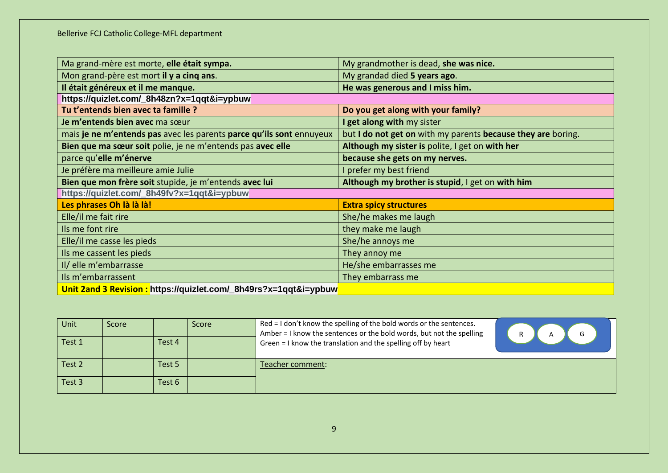| Ma grand-mère est morte, elle était sympa.                           | My grandmother is dead, she was nice.                        |
|----------------------------------------------------------------------|--------------------------------------------------------------|
| Mon grand-père est mort il y a cinq ans.                             | My grandad died 5 years ago.                                 |
| Il était généreux et il me manque.                                   | He was generous and I miss him.                              |
| https://quizlet.com/_8h48zn?x=1qqt&i=ypbuw                           |                                                              |
| Tu t'entends bien avec ta famille ?                                  | Do you get along with your family?                           |
| Je m'entends bien avec ma sœur                                       | I get along with my sister                                   |
| mais je ne m'entends pas avec les parents parce qu'ils sont ennuyeux | but I do not get on with my parents because they are boring. |
| Bien que ma sœur soit polie, je ne m'entends pas avec elle           | Although my sister is polite, I get on with her              |
| parce qu'elle m'énerve                                               | because she gets on my nerves.                               |
| Je préfère ma meilleure amie Julie                                   | I prefer my best friend                                      |
|                                                                      |                                                              |
| Bien que mon frère soit stupide, je m'entends avec lui               | Although my brother is stupid, I get on with him             |
| https://quizlet.com/_8h49fv?x=1qqt&i=ypbuw                           |                                                              |
| Les phrases Oh là là là!                                             | <b>Extra spicy structures</b>                                |
| Elle/il me fait rire                                                 | She/he makes me laugh                                        |
| Ils me font rire                                                     | they make me laugh                                           |
| Elle/il me casse les pieds                                           | She/he annoys me                                             |
| Ils me cassent les pieds                                             | They annoy me                                                |
| Il/ elle m'embarrasse                                                | He/she embarrasses me                                        |
| Ils m'embarrassent                                                   | They embarrass me                                            |

| Unit   | Score |        | Score | Red = I don't know the spelling of the bold words or the sentences.<br>Amber = I know the sentences or the bold words, but not the spelling |  |
|--------|-------|--------|-------|---------------------------------------------------------------------------------------------------------------------------------------------|--|
| Test 1 |       | Test 4 |       | Green = I know the translation and the spelling off by heart                                                                                |  |
| Test 2 |       | Test 5 |       | Teacher comment:                                                                                                                            |  |
| Test 3 |       | Test 6 |       |                                                                                                                                             |  |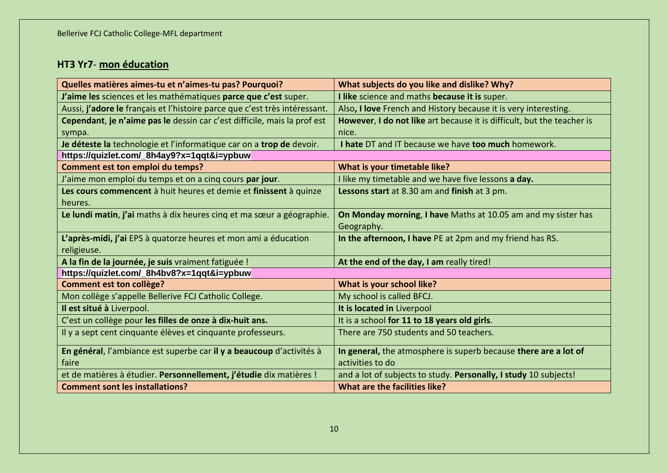# **HT3 Yr7**- **mon éducation**

| Quelles matières aimes-tu et n'aimes-tu pas? Pourquoi?                     | What subjects do you like and dislike? Why?                            |  |
|----------------------------------------------------------------------------|------------------------------------------------------------------------|--|
| J'aime les sciences et les mathématiques parce que c'est super.            | I like science and maths because it is super.                          |  |
| Aussi, j'adore le français et l'histoire parce que c'est très intéressant. | Also, I love French and History because it is very interesting.        |  |
| Cependant, je n'aime pas le dessin car c'est difficile, mais la prof est   | However, I do not like art because it is difficult, but the teacher is |  |
| sympa.                                                                     | nice.                                                                  |  |
| Je déteste la technologie et l'informatique car on a trop de devoir.       | I hate DT and IT because we have too much homework.                    |  |
| https://quizlet.com/_8h4ay9?x=1qqt&i=ypbuw                                 |                                                                        |  |
| Comment est ton emploi du temps?                                           | What is your timetable like?                                           |  |
| J'aime mon emploi du temps et on a cinq cours par jour.                    | I like my timetable and we have five lessons a day.                    |  |
| Les cours commencent à huit heures et demie et finissent à quinze          | Lessons start at 8.30 am and finish at 3 pm.                           |  |
| heures.                                                                    |                                                                        |  |
| Le lundi matin, j'ai maths à dix heures cinq et ma sœur a géographie.      | On Monday morning, I have Maths at 10.05 am and my sister has          |  |
|                                                                            | Geography.                                                             |  |
| L'après-midi, j'ai EPS à quatorze heures et mon ami a éducation            | In the afternoon, I have PE at 2pm and my friend has RS.               |  |
| religieuse.                                                                |                                                                        |  |
| A la fin de la journée, je suis vraiment fatiguée !                        | At the end of the day, I am really tired!                              |  |
| https://quizlet.com/_8h4bv8?x=1qqt&i=ypbuw                                 |                                                                        |  |
| <b>Comment est ton collège?</b>                                            | What is your school like?                                              |  |
| Mon collège s'appelle Bellerive FCJ Catholic College.                      | My school is called BFCJ.                                              |  |
| Il est situé à Liverpool.                                                  | It is located in Liverpool                                             |  |
| C'est un collège pour les filles de onze à dix-huit ans.                   | It is a school for 11 to 18 years old girls.                           |  |
| Il y a sept cent cinquante élèves et cinquante professeurs.                | There are 750 students and 50 teachers.                                |  |
| En général, l'ambiance est superbe car il y a beaucoup d'activités à       | In general, the atmosphere is superb because there are a lot of        |  |
| faire                                                                      | activities to do                                                       |  |
| et de matières à étudier. Personnellement, j'étudie dix matières !         | and a lot of subjects to study. Personally, I study 10 subjects!       |  |
| <b>Comment sont les installations?</b>                                     | What are the facilities like?                                          |  |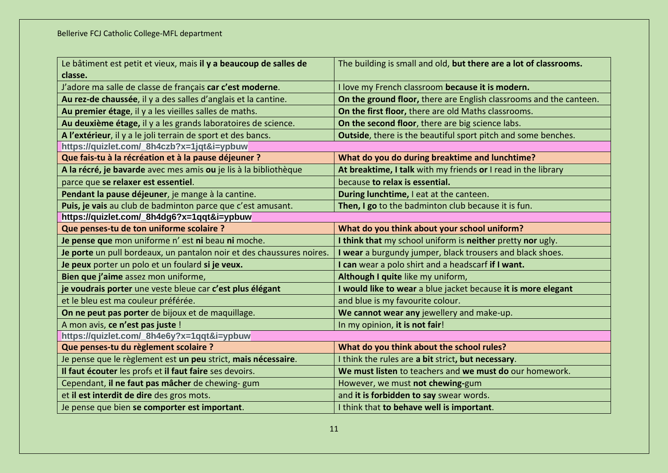| Le bâtiment est petit et vieux, mais il y a beaucoup de salles de     | The building is small and old, but there are a lot of classrooms.  |
|-----------------------------------------------------------------------|--------------------------------------------------------------------|
| classe.                                                               |                                                                    |
| J'adore ma salle de classe de français car c'est moderne.             | I love my French classroom because it is modern.                   |
| Au rez-de chaussée, il y a des salles d'anglais et la cantine.        | On the ground floor, there are English classrooms and the canteen. |
| Au premier étage, il y a les vieilles salles de maths.                | On the first floor, there are old Maths classrooms.                |
| Au deuxième étage, il y a les grands laboratoires de science.         | On the second floor, there are big science labs.                   |
| A l'extérieur, il y a le joli terrain de sport et des bancs.          | Outside, there is the beautiful sport pitch and some benches.      |
| https://quizlet.com/_8h4czb?x=1jqt&i=ypbuw                            |                                                                    |
| Que fais-tu à la récréation et à la pause déjeuner ?                  | What do you do during breaktime and lunchtime?                     |
| A la récré, je bavarde avec mes amis ou je lis à la bibliothèque      | At breaktime, I talk with my friends or I read in the library      |
| parce que se relaxer est essentiel.                                   | because to relax is essential.                                     |
| Pendant la pause déjeuner, je mange à la cantine.                     | During lunchtime, I eat at the canteen.                            |
| Puis, je vais au club de badminton parce que c'est amusant.           | Then, I go to the badminton club because it is fun.                |
| https://quizlet.com/_8h4dg6?x=1qqt&i=ypbuw                            |                                                                    |
| Que penses-tu de ton uniforme scolaire ?                              | What do you think about your school uniform?                       |
| Je pense que mon uniforme n' est ni beau ni moche.                    | I think that my school uniform is neither pretty nor ugly.         |
| Je porte un pull bordeaux, un pantalon noir et des chaussures noires. | I wear a burgundy jumper, black trousers and black shoes.          |
| Je peux porter un polo et un foulard si je veux.                      | I can wear a polo shirt and a headscarf if I want.                 |
| Bien que j'aime assez mon uniforme,                                   | Although I quite like my uniform,                                  |
| je voudrais porter une veste bleue car c'est plus élégant             | I would like to wear a blue jacket because it is more elegant      |
| et le bleu est ma couleur préférée.                                   | and blue is my favourite colour.                                   |
| On ne peut pas porter de bijoux et de maquillage.                     | We cannot wear any jewellery and make-up.                          |
| A mon avis, ce n'est pas juste !                                      | In my opinion, it is not fair!                                     |
| https://quizlet.com/_8h4e6y?x=1qqt&i=ypbuw                            |                                                                    |
| Que penses-tu du règlement scolaire ?                                 | What do you think about the school rules?                          |
| Je pense que le règlement est un peu strict, mais nécessaire.         | I think the rules are a bit strict, but necessary.                 |
| Il faut écouter les profs et il faut faire ses devoirs.               | We must listen to teachers and we must do our homework.            |
| Cependant, il ne faut pas mâcher de chewing- gum                      | However, we must not chewing-gum                                   |
| et il est interdit de dire des gros mots.                             | and it is forbidden to say swear words.                            |
| Je pense que bien se comporter est important.                         | I think that to behave well is important.                          |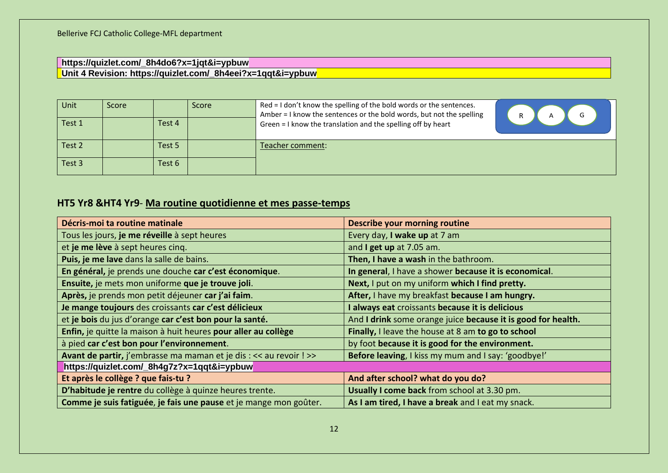#### **https://quizlet.com/\_8h4do6?x=1jqt&i=ypbuw Unit 4 Revision: https://quizlet.com/\_8h4eei?x=1qqt&i=ypbuw**

| <b>Unit</b> | Score |        | <b>Score</b> | Red = I don't know the spelling of the bold words or the sentences.<br>Amber = I know the sentences or the bold words, but not the spelling |  |
|-------------|-------|--------|--------------|---------------------------------------------------------------------------------------------------------------------------------------------|--|
| Test 1      |       | Test 4 |              | Green = I know the translation and the spelling off by heart                                                                                |  |
| Test 2      |       | Test 5 |              | Teacher comment:                                                                                                                            |  |
| Test 3      |       | Test 6 |              |                                                                                                                                             |  |

### **HT5 Yr8 &HT4 Yr9**- **Ma routine quotidienne et mes passe-temps**

| Décris-moi ta routine matinale                                     | <b>Describe your morning routine</b>                         |
|--------------------------------------------------------------------|--------------------------------------------------------------|
| Tous les jours, je me réveille à sept heures                       | Every day, I wake up at 7 am                                 |
| et je me lève à sept heures cinq.                                  | and I get up at 7.05 am.                                     |
| Puis, je me lave dans la salle de bains.                           | Then, I have a wash in the bathroom.                         |
| En général, je prends une douche car c'est économique.             | In general, I have a shower because it is economical.        |
| Ensuite, je mets mon uniforme que je trouve joli.                  | Next, I put on my uniform which I find pretty.               |
| Après, je prends mon petit déjeuner car j'ai faim.                 | After, I have my breakfast because I am hungry.              |
| Je mange toujours des croissants car c'est délicieux               | I always eat croissants because it is delicious              |
| et je bois du jus d'orange car c'est bon pour la santé.            | And I drink some orange juice because it is good for health. |
| Enfin, je quitte la maison à huit heures pour aller au collège     | Finally, I leave the house at 8 am to go to school           |
| à pied car c'est bon pour l'environnement.                         | by foot because it is good for the environment.              |
| Avant de partir, j'embrasse ma maman et je dis : << au revoir ! >> | Before leaving, I kiss my mum and I say: 'goodbye!'          |
| https://quizlet.com/_8h4g7z?x=1qqt&i=ypbuw                         |                                                              |
| Et après le collège ? que fais-tu ?                                | And after school? what do you do?                            |
| D'habitude je rentre du collège à quinze heures trente.            | Usually I come back from school at 3.30 pm.                  |
| Comme je suis fatiguée, je fais une pause et je mange mon goûter.  | As I am tired, I have a break and I eat my snack.            |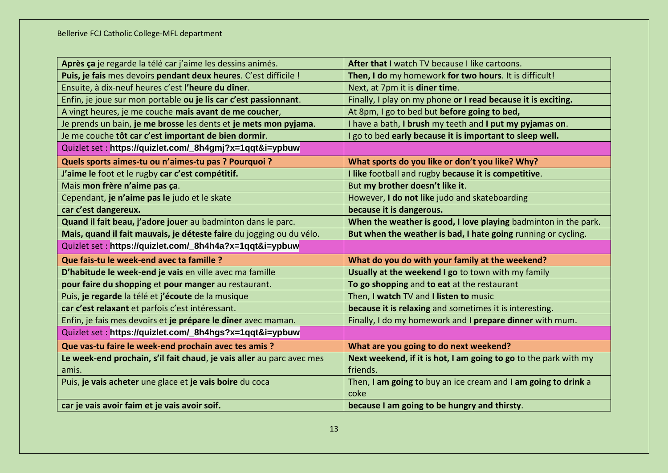| Après ça je regarde la télé car j'aime les dessins animés.            | After that I watch TV because I like cartoons.                   |
|-----------------------------------------------------------------------|------------------------------------------------------------------|
| Puis, je fais mes devoirs pendant deux heures. C'est difficile !      | Then, I do my homework for two hours. It is difficult!           |
| Ensuite, à dix-neuf heures c'est l'heure du dîner.                    | Next, at 7pm it is diner time.                                   |
| Enfin, je joue sur mon portable ou je lis car c'est passionnant.      | Finally, I play on my phone or I read because it is exciting.    |
| A vingt heures, je me couche mais avant de me coucher,                | At 8pm, I go to bed but before going to bed,                     |
| Je prends un bain, je me brosse les dents et je mets mon pyjama.      | I have a bath, I brush my teeth and I put my pyjamas on.         |
| Je me couche tôt car c'est important de bien dormir.                  | I go to bed early because it is important to sleep well.         |
| Quizlet set: https://quizlet.com/_8h4gmj?x=1qqt&i=ypbuw               |                                                                  |
| Quels sports aimes-tu ou n'aimes-tu pas ? Pourquoi ?                  | What sports do you like or don't you like? Why?                  |
| J'aime le foot et le rugby car c'est compétitif.                      | I like football and rugby because it is competitive.             |
| Mais mon frère n'aime pas ça.                                         | But my brother doesn't like it.                                  |
| Cependant, je n'aime pas le judo et le skate                          | However, I do not like judo and skateboarding                    |
| car c'est dangereux.                                                  | because it is dangerous.                                         |
| Quand il fait beau, j'adore jouer au badminton dans le parc.          | When the weather is good, I love playing badminton in the park.  |
| Mais, quand il fait mauvais, je déteste faire du jogging ou du vélo.  | But when the weather is bad, I hate going running or cycling.    |
| Quizlet set: https://quizlet.com/_8h4h4a?x=1qqt&i=ypbuw               |                                                                  |
| Que fais-tu le week-end avec ta famille ?                             | What do you do with your family at the weekend?                  |
| D'habitude le week-end je vais en ville avec ma famille               | Usually at the weekend I go to town with my family               |
| pour faire du shopping et pour manger au restaurant.                  | To go shopping and to eat at the restaurant                      |
| Puis, je regarde la télé et j'écoute de la musique                    | Then, I watch TV and I listen to music                           |
| car c'est relaxant et parfois c'est intéressant.                      | because it is relaxing and sometimes it is interesting.          |
| Enfin, je fais mes devoirs et je prépare le dîner avec maman.         | Finally, I do my homework and I prepare dinner with mum.         |
| Quizlet set: https://quizlet.com/_8h4hgs?x=1qqt&i=ypbuw               |                                                                  |
| Que vas-tu faire le week-end prochain avec tes amis ?                 | What are you going to do next weekend?                           |
| Le week-end prochain, s'il fait chaud, je vais aller au parc avec mes | Next weekend, if it is hot, I am going to go to the park with my |
| amis.                                                                 | friends.                                                         |
| Puis, je vais acheter une glace et je vais boire du coca              | Then, I am going to buy an ice cream and I am going to drink a   |
|                                                                       |                                                                  |
|                                                                       | coke                                                             |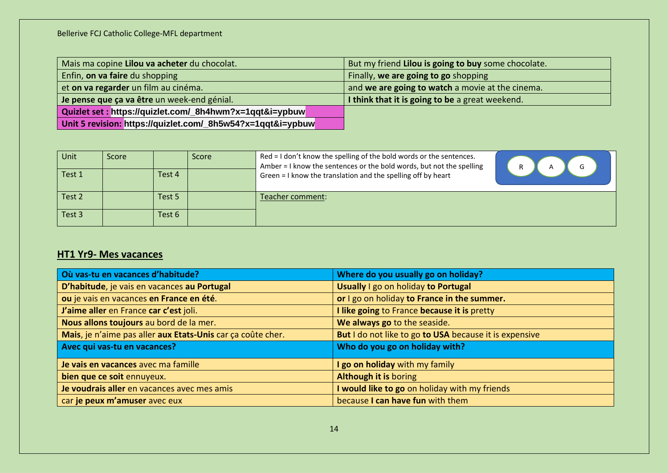| Mais ma copine Lilou va acheter du chocolat.                | But my friend Lilou is going to buy some chocolate. |
|-------------------------------------------------------------|-----------------------------------------------------|
| Enfin, on va faire du shopping                              | Finally, we are going to go shopping                |
| et on va regarder un film au cinéma.                        | and we are going to watch a movie at the cinema.    |
| Je pense que ça va être un week-end génial.                 | I think that it is going to be a great weekend.     |
| Quizlet set : https://quizlet.com/_8h4hwm?x=1qqt&i=ypbuw    |                                                     |
| Unit 5 revision: https://quizlet.com/_8h5w54?x=1qqt&i=ypbuw |                                                     |

| Unit   | Score |        | Score | Red = I don't know the spelling of the bold words or the sentences.<br>Amber = I know the sentences or the bold words, but not the spelling |  |
|--------|-------|--------|-------|---------------------------------------------------------------------------------------------------------------------------------------------|--|
| Test 1 |       | Test 4 |       | Green = I know the translation and the spelling off by heart                                                                                |  |
| Test 2 |       | Test 5 |       | Teacher comment:                                                                                                                            |  |
| Test 3 |       | Test 6 |       |                                                                                                                                             |  |

# **HT1 Yr9- Mes vacances**

| Où vas-tu en vacances d'habitude?                           | Where do you usually go on holiday?                    |
|-------------------------------------------------------------|--------------------------------------------------------|
| D'habitude, je vais en vacances au Portugal                 | Usually I go on holiday to Portugal                    |
| ou je vais en vacances en France en été.                    | or I go on holiday to France in the summer.            |
| J'aime aller en France car c'est joli.                      | I like going to France because it is pretty            |
| Nous allons toujours au bord de la mer.                     | We always go to the seaside.                           |
| Mais, je n'aime pas aller aux Etats-Unis car ça coûte cher. | But I do not like to go to USA because it is expensive |
| Avec qui vas-tu en vacances?                                | Who do you go on holiday with?                         |
| Je vais en vacances avec ma famille                         | I go on holiday with my family                         |
| bien que ce soit ennuyeux.                                  | <b>Although it is boring</b>                           |
| Je voudrais aller en vacances avec mes amis                 | I would like to go on holiday with my friends          |
| car je peux m'amuser avec eux                               | because I can have fun with them                       |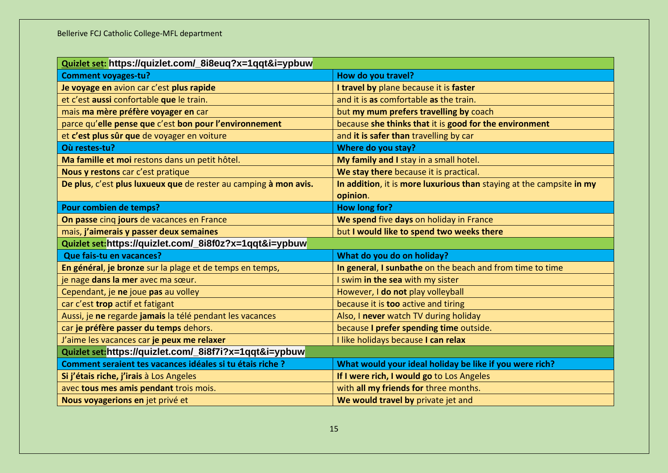| Quizlet set: https://quizlet.com/_8i8euq?x=1qqt&i=ypbuw          |                                                                      |  |
|------------------------------------------------------------------|----------------------------------------------------------------------|--|
| <b>Comment voyages-tu?</b>                                       | How do you travel?                                                   |  |
| Je voyage en avion car c'est plus rapide                         | I travel by plane because it is faster                               |  |
| et c'est aussi confortable que le train.                         | and it is as comfortable as the train.                               |  |
| mais ma mère préfère voyager en car                              | but my mum prefers travelling by coach                               |  |
| parce qu'elle pense que c'est bon pour l'environnement           | because she thinks that it is good for the environment               |  |
| et c'est plus sûr que de voyager en voiture                      | and it is safer than travelling by car                               |  |
| Où restes-tu?                                                    | Where do you stay?                                                   |  |
| Ma famille et moi restons dans un petit hôtel.                   | My family and I stay in a small hotel.                               |  |
| Nous y restons car c'est pratique                                | We stay there because it is practical.                               |  |
| De plus, c'est plus luxueux que de rester au camping à mon avis. | In addition, it is more luxurious than staying at the campsite in my |  |
|                                                                  | opinion.                                                             |  |
| Pour combien de temps?                                           | How long for?                                                        |  |
| On passe cinq jours de vacances en France                        | We spend five days on holiday in France                              |  |
| mais, j'aimerais y passer deux semaines                          | but I would like to spend two weeks there                            |  |
| Quizlet set:https://quizlet.com/_8i8f0z?x=1qqt&i=ypbuw           |                                                                      |  |
| Que fais-tu en vacances?                                         | What do you do on holiday?                                           |  |
| En général, je bronze sur la plage et de temps en temps,         | In general, I sunbathe on the beach and from time to time            |  |
| je nage dans la mer avec ma sœur.                                | I swim in the sea with my sister                                     |  |
| Cependant, je ne joue pas au volley                              | However, I do not play volleyball                                    |  |
| car c'est trop actif et fatigant                                 | because it is too active and tiring                                  |  |
| Aussi, je ne regarde jamais la télé pendant les vacances         | Also, I never watch TV during holiday                                |  |
| car je préfère passer du temps dehors.                           | because I prefer spending time outside.                              |  |
| J'aime les vacances car je peux me relaxer                       | I like holidays because I can relax                                  |  |
| Quizlet set: https://quizlet.com/_8i8f7i?x=1qqt&i=ypbuw          |                                                                      |  |
| Comment seraient tes vacances idéales si tu étais riche ?        | What would your ideal holiday be like if you were rich?              |  |
| Si j'étais riche, j'irais à Los Angeles                          | If I were rich, I would go to Los Angeles                            |  |
| avec tous mes amis pendant trois mois.                           | with all my friends for three months.                                |  |
| Nous voyagerions en jet privé et                                 | We would travel by private jet and                                   |  |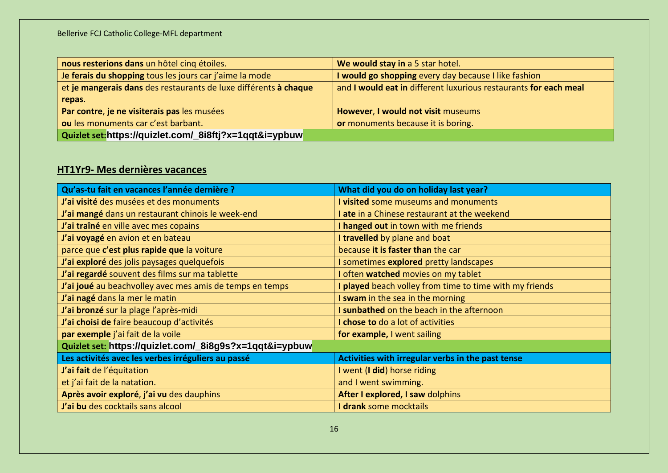| nous resterions dans un hôtel cinq étoiles.                      | We would stay in a 5 star hotel.                                 |  |
|------------------------------------------------------------------|------------------------------------------------------------------|--|
| Je ferais du shopping tous les jours car j'aime la mode          | I would go shopping every day because I like fashion             |  |
| et je mangerais dans des restaurants de luxe différents à chaque | and I would eat in different luxurious restaurants for each meal |  |
| repas.                                                           |                                                                  |  |
| Par contre, je ne visiterais pas les musées                      | However, I would not visit museums                               |  |
| ou les monuments car c'est barbant.                              | or monuments because it is boring.                               |  |
| Quizlet set:https://quizlet.com/_8i8ftj?x=1qqt&i=ypbuw           |                                                                  |  |

# **HT1Yr9- Mes dernières vacances**

| Qu'as-tu fait en vacances l'année dernière ?             | What did you do on holiday last year?                   |  |
|----------------------------------------------------------|---------------------------------------------------------|--|
| J'ai visité des musées et des monuments                  | I visited some museums and monuments                    |  |
| J'ai mangé dans un restaurant chinois le week-end        | I ate in a Chinese restaurant at the weekend            |  |
| J'ai traîné en ville avec mes copains                    | I hanged out in town with me friends                    |  |
| J'ai voyagé en avion et en bateau                        | I travelled by plane and boat                           |  |
| parce que c'est plus rapide que la voiture               | because it is faster than the car                       |  |
| J'ai exploré des jolis paysages quelquefois              | I sometimes explored pretty landscapes                  |  |
| J'ai regardé souvent des films sur ma tablette           | I often watched movies on my tablet                     |  |
| J'ai joué au beachvolley avec mes amis de temps en temps | I played beach volley from time to time with my friends |  |
| J'ai nagé dans la mer le matin                           | I swam in the sea in the morning                        |  |
| J'ai bronzé sur la plage l'après-midi                    | I sunbathed on the beach in the afternoon               |  |
| J'ai choisi de faire beaucoup d'activités                | I chose to do a lot of activities                       |  |
| par exemple j'ai fait de la voile                        | for example, I went sailing                             |  |
| Quizlet set: https://quizlet.com/_8i8g9s?x=1qqt&i=ypbuw  |                                                         |  |
| Les activités avec les verbes irréguliers au passé       | Activities with irregular verbs in the past tense       |  |
| J'ai fait de l'équitation                                | I went (I did) horse riding                             |  |
| et j'ai fait de la natation.                             | and I went swimming.                                    |  |
| Après avoir exploré, j'ai vu des dauphins                | After I explored, I saw dolphins                        |  |
| J'ai bu des cocktails sans alcool                        | I drank some mocktails                                  |  |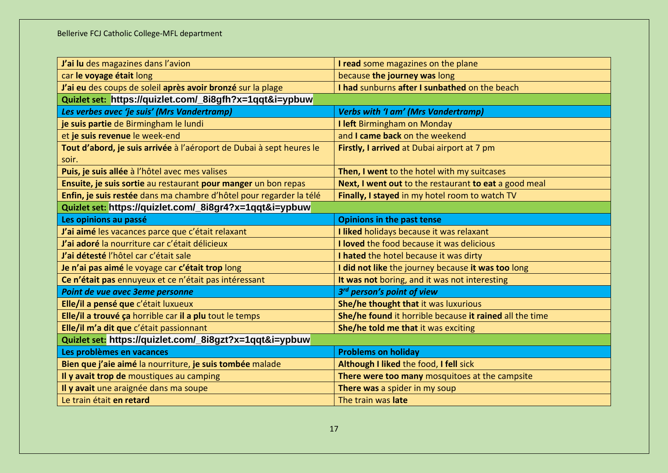| J'ai lu des magazines dans l'avion                                   | I read some magazines on the plane                      |  |
|----------------------------------------------------------------------|---------------------------------------------------------|--|
| car le voyage était long                                             | because the journey was long                            |  |
| J'ai eu des coups de soleil après avoir bronzé sur la plage          | I had sunburns after I sunbathed on the beach           |  |
| Quizlet set: https://quizlet.com/_8i8gfh?x=1qqt&i=ypbuw              |                                                         |  |
| Les verbes avec 'je suis' (Mrs Vandertramp)                          | <b>Verbs with 'I am' (Mrs Vandertramp)</b>              |  |
| je suis partie de Birmingham le lundi                                | I left Birmingham on Monday                             |  |
| et je suis revenue le week-end                                       | and I came back on the weekend                          |  |
| Tout d'abord, je suis arrivée à l'aéroport de Dubai à sept heures le | Firstly, I arrived at Dubai airport at 7 pm             |  |
| soir.                                                                |                                                         |  |
| Puis, je suis allée à l'hôtel avec mes valises                       | Then, I went to the hotel with my suitcases             |  |
| Ensuite, je suis sortie au restaurant pour manger un bon repas       | Next, I went out to the restaurant to eat a good meal   |  |
| Enfin, je suis restée dans ma chambre d'hôtel pour regarder la télé  | Finally, I stayed in my hotel room to watch TV          |  |
| Quizlet set: https://quizlet.com/_8i8gr4?x=1qqt&i=ypbuw              |                                                         |  |
| Les opinions au passé                                                | <b>Opinions in the past tense</b>                       |  |
| J'ai aimé les vacances parce que c'était relaxant                    | I liked holidays because it was relaxant                |  |
| J'ai adoré la nourriture car c'était délicieux                       | I loved the food because it was delicious               |  |
| J'ai détesté l'hôtel car c'était sale                                | I hated the hotel because it was dirty                  |  |
| Je n'ai pas aimé le voyage car c'était trop long                     | I did not like the journey because it was too long      |  |
| Ce n'était pas ennuyeux et ce n'était pas intéressant                | It was not boring, and it was not interesting           |  |
| Point de vue avec 3eme personne                                      | 3rd person's point of view                              |  |
| Elle/il a pensé que c'était luxueux                                  | She/he thought that it was luxurious                    |  |
| Elle/il a trouvé ça horrible car il a plu tout le temps              | She/he found it horrible because it rained all the time |  |
| Elle/il m'a dit que c'était passionnant                              | She/he told me that it was exciting                     |  |
| Quizlet set: https://quizlet.com/_8i8gzt?x=1qqt&i=ypbuw              |                                                         |  |
| Les problèmes en vacances                                            | <b>Problems on holiday</b>                              |  |
| Bien que j'aie aimé la nourriture, je suis tombée malade             | Although I liked the food, I fell sick                  |  |
| Il y avait trop de moustiques au camping                             | There were too many mosquitoes at the campsite          |  |
| Il y avait une araignée dans ma soupe                                | There was a spider in my soup                           |  |
| Le train était en retard                                             | The train was late                                      |  |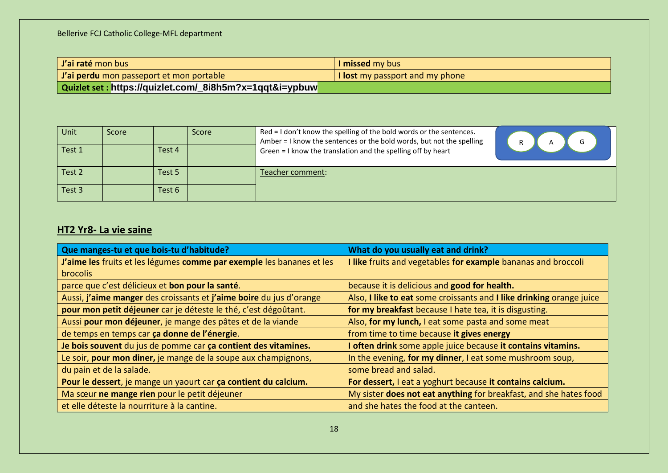| <i>I'ai raté mon bus</i>                                 | I missed my bus                 |
|----------------------------------------------------------|---------------------------------|
| <i>J'ai perdu mon passeport et mon portable</i>          | I lost my passport and my phone |
| Quizlet set : https://quizlet.com/_8i8h5m?x=1qqt&i=ypbuw |                                 |

| Unit   | Score |        | Score | Red = I don't know the spelling of the bold words or the sentences.<br>Amber = I know the sentences or the bold words, but not the spelling |  |
|--------|-------|--------|-------|---------------------------------------------------------------------------------------------------------------------------------------------|--|
| Test 1 |       | Test 4 |       | Green = I know the translation and the spelling off by heart                                                                                |  |
| Test 2 |       | Test 5 |       | Teacher comment:                                                                                                                            |  |
| Test 3 |       | Test 6 |       |                                                                                                                                             |  |

# **HT2 Yr8- La vie saine**

| Que manges-tu et que bois-tu d'habitude?                              | What do you usually eat and drink?                                   |
|-----------------------------------------------------------------------|----------------------------------------------------------------------|
| J'aime les fruits et les légumes comme par exemple les bananes et les | I like fruits and vegetables for example bananas and broccoli        |
| <b>brocolis</b>                                                       |                                                                      |
| parce que c'est délicieux et bon pour la santé.                       | because it is delicious and good for health.                         |
| Aussi, j'aime manger des croissants et j'aime boire du jus d'orange   | Also, I like to eat some croissants and I like drinking orange juice |
| pour mon petit déjeuner car je déteste le thé, c'est dégoûtant.       | for my breakfast because I hate tea, it is disgusting.               |
| Aussi pour mon déjeuner, je mange des pâtes et de la viande           | Also, for my lunch, I eat some pasta and some meat                   |
| de temps en temps car ça donne de l'énergie.                          | from time to time because it gives energy                            |
| Je bois souvent du jus de pomme car ça contient des vitamines.        | I often drink some apple juice because it contains vitamins.         |
| Le soir, pour mon diner, je mange de la soupe aux champignons,        | In the evening, for my dinner, I eat some mushroom soup,             |
| du pain et de la salade.                                              | some bread and salad.                                                |
| Pour le dessert, je mange un yaourt car ça contient du calcium.       | For dessert, I eat a yoghurt because it contains calcium.            |
| Ma sœur ne mange rien pour le petit déjeuner                          | My sister does not eat anything for breakfast, and she hates food    |
| et elle déteste la nourriture à la cantine.                           | and she hates the food at the canteen.                               |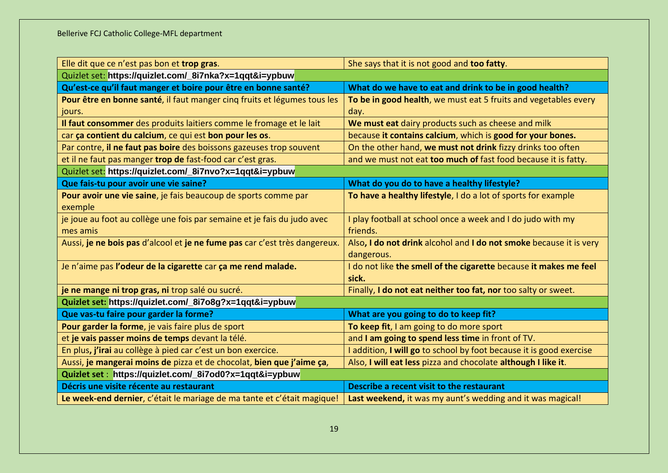| Elle dit que ce n'est pas bon et trop gras.                                | She says that it is not good and too fatty.                         |  |  |
|----------------------------------------------------------------------------|---------------------------------------------------------------------|--|--|
| Quizlet set: https://quizlet.com/_8i7nka?x=1qqt&i=ypbuw                    |                                                                     |  |  |
| Qu'est-ce qu'il faut manger et boire pour être en bonne santé?             | What do we have to eat and drink to be in good health?              |  |  |
| Pour être en bonne santé, il faut manger cinq fruits et légumes tous les   | To be in good health, we must eat 5 fruits and vegetables every     |  |  |
| jours.                                                                     | day.                                                                |  |  |
| Il faut consommer des produits laitiers comme le fromage et le lait        | We must eat dairy products such as cheese and milk                  |  |  |
| car ça contient du calcium, ce qui est bon pour les os.                    | because it contains calcium, which is good for your bones.          |  |  |
| Par contre, il ne faut pas boire des boissons gazeuses trop souvent        | On the other hand, we must not drink fizzy drinks too often         |  |  |
| et il ne faut pas manger trop de fast-food car c'est gras.                 | and we must not eat too much of fast food because it is fatty.      |  |  |
| Quizlet set: https://quizlet.com/_8i7nvo?x=1qqt&i=ypbuw                    |                                                                     |  |  |
| Que fais-tu pour avoir une vie saine?                                      | What do you do to have a healthy lifestyle?                         |  |  |
| Pour avoir une vie saine, je fais beaucoup de sports comme par             | To have a healthy lifestyle, I do a lot of sports for example       |  |  |
| exemple                                                                    |                                                                     |  |  |
| je joue au foot au collège une fois par semaine et je fais du judo avec    | I play football at school once a week and I do judo with my         |  |  |
| mes amis                                                                   | friends.                                                            |  |  |
| Aussi, je ne bois pas d'alcool et je ne fume pas car c'est très dangereux. | Also, I do not drink alcohol and I do not smoke because it is very  |  |  |
|                                                                            | dangerous.                                                          |  |  |
| Je n'aime pas l'odeur de la cigarette car ça me rend malade.               | I do not like the smell of the cigarette because it makes me feel   |  |  |
|                                                                            | sick.                                                               |  |  |
| je ne mange ni trop gras, ni trop salé ou sucré.                           | Finally, I do not eat neither too fat, nor too salty or sweet.      |  |  |
| Quizlet set: https://quizlet.com/_8i7o8g?x=1qqt&i=ypbuw                    |                                                                     |  |  |
| Que vas-tu faire pour garder la forme?                                     | What are you going to do to keep fit?                               |  |  |
| Pour garder la forme, je vais faire plus de sport                          | To keep fit, I am going to do more sport                            |  |  |
| et je vais passer moins de temps devant la télé.                           | and I am going to spend less time in front of TV.                   |  |  |
| En plus, j'irai au collège à pied car c'est un bon exercice.               | I addition, I will go to school by foot because it is good exercise |  |  |
| Aussi, je mangerai moins de pizza et de chocolat, bien que j'aime ça,      | Also, I will eat less pizza and chocolate although I like it.       |  |  |
| Quizlet set: https://quizlet.com/_8i7od0?x=1qqt&i=ypbuw                    |                                                                     |  |  |
| Décris une visite récente au restaurant                                    | Describe a recent visit to the restaurant                           |  |  |
| Le week-end dernier, c'était le mariage de ma tante et c'était magique!    | Last weekend, it was my aunt's wedding and it was magical!          |  |  |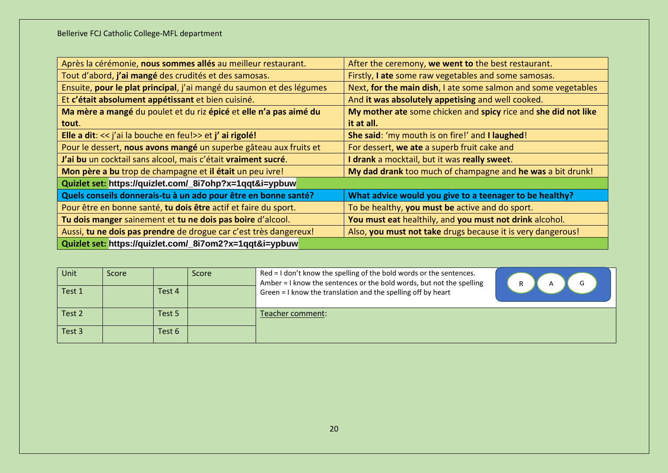| Après la cérémonie, nous sommes allés au meilleur restaurant.        | After the ceremony, we went to the best restaurant.            |
|----------------------------------------------------------------------|----------------------------------------------------------------|
| Tout d'abord, j'ai mangé des crudités et des samosas.                | Firstly, I ate some raw vegetables and some samosas.           |
| Ensuite, pour le plat principal, j'ai mangé du saumon et des légumes | Next, for the main dish, I ate some salmon and some vegetables |
| Et c'était absolument appétissant et bien cuisiné.                   | And it was absolutely appetising and well cooked.              |
| Ma mère a mangé du poulet et du riz épicé et elle n'a pas aimé du    | My mother ate some chicken and spicy rice and she did not like |
| tout.                                                                | it at all.                                                     |
| Elle a dit: << j'ai la bouche en feu!>> et j' ai rigolé!             | She said: 'my mouth is on fire!' and I laughed!                |
| Pour le dessert, nous avons mangé un superbe gâteau aux fruits et    | For dessert, we ate a superb fruit cake and                    |
| J'ai bu un cocktail sans alcool, mais c'était vraiment sucré.        | I drank a mocktail, but it was really sweet.                   |
| Mon père a bu trop de champagne et il était un peu ivre!             | My dad drank too much of champagne and he was a bit drunk!     |
| Quizlet set: https://quizlet.com/_8i7ohp?x=1qqt&i=ypbuw              |                                                                |
| Quels conseils donnerais-tu à un ado pour être en bonne santé?       | What advice would you give to a teenager to be healthy?        |
| Pour être en bonne santé, tu dois être actif et faire du sport.      | To be healthy, you must be active and do sport.                |
| Tu dois manger sainement et tu ne dois pas boire d'alcool.           | You must eat healthily, and you must not drink alcohol.        |
| Aussi, tu ne dois pas prendre de drogue car c'est très dangereux!    | Also, you must not take drugs because it is very dangerous!    |
| Quizlet set: https://quizlet.com/_8i7om2?x=1qqt&i=ypbuw              |                                                                |

| Unit   | Score |        | <b>Score</b> | Red = I don't know the spelling of the bold words or the sentences.<br>Amber = I know the sentences or the bold words, but not the spelling<br>D |
|--------|-------|--------|--------------|--------------------------------------------------------------------------------------------------------------------------------------------------|
| Test 1 |       | Test 4 |              | Green = I know the translation and the spelling off by heart                                                                                     |
| Test 2 |       | Test 5 |              | Teacher comment:                                                                                                                                 |
| Test 3 |       | Test 6 |              |                                                                                                                                                  |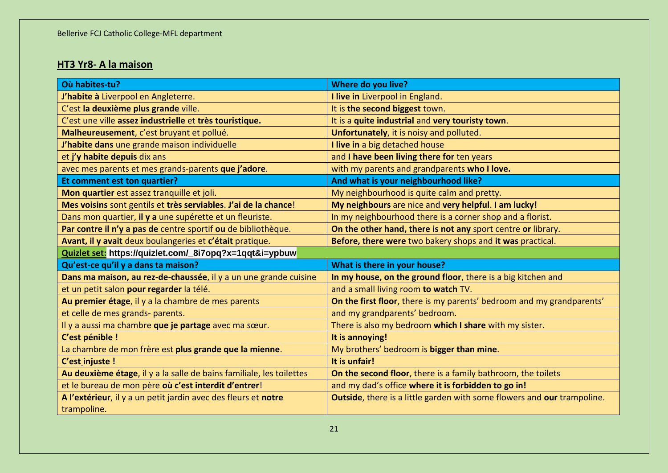# **HT3 Yr8- A la maison**

| Où habites-tu?                                                       | Where do you live?                                                      |
|----------------------------------------------------------------------|-------------------------------------------------------------------------|
| J'habite à Liverpool en Angleterre.                                  | I live in Liverpool in England.                                         |
| C'est la deuxième plus grande ville.                                 | It is the second biggest town.                                          |
| C'est une ville assez industrielle et très touristique.              | It is a quite industrial and very touristy town.                        |
| Malheureusement, c'est bruyant et pollué.                            | Unfortunately, it is noisy and polluted.                                |
| J'habite dans une grande maison individuelle                         | I live in a big detached house                                          |
| et j'y habite depuis dix ans                                         | and I have been living there for ten years                              |
| avec mes parents et mes grands-parents que j'adore.                  | with my parents and grandparents who I love.                            |
| Et comment est ton quartier?                                         | And what is your neighbourhood like?                                    |
| Mon quartier est assez tranquille et joli.                           | My neighbourhood is quite calm and pretty.                              |
| Mes voisins sont gentils et très serviables. J'ai de la chance!      | My neighbours are nice and very helpful. I am lucky!                    |
| Dans mon quartier, il y a une supérette et un fleuriste.             | In my neighbourhood there is a corner shop and a florist.               |
| Par contre il n'y a pas de centre sportif ou de bibliothèque.        | On the other hand, there is not any sport centre or library.            |
| Avant, il y avait deux boulangeries et c'était pratique.             | Before, there were two bakery shops and it was practical.               |
|                                                                      |                                                                         |
| Quizlet set: https://quizlet.com/_8i7opq?x=1qqt&i=ypbuw              |                                                                         |
| Qu'est-ce qu'il y a dans ta maison?                                  | What is there in your house?                                            |
| Dans ma maison, au rez-de-chaussée, il y a un une grande cuisine     | In my house, on the ground floor, there is a big kitchen and            |
| et un petit salon pour regarder la télé.                             | and a small living room to watch TV.                                    |
| Au premier étage, il y a la chambre de mes parents                   | On the first floor, there is my parents' bedroom and my grandparents'   |
| et celle de mes grands- parents.                                     | and my grandparents' bedroom.                                           |
| Il y a aussi ma chambre que je partage avec ma sœur.                 | There is also my bedroom which I share with my sister.                  |
| C'est pénible !                                                      | It is annoying!                                                         |
| La chambre de mon frère est plus grande que la mienne.               | My brothers' bedroom is bigger than mine.                               |
| C'est injuste !                                                      | It is unfair!                                                           |
| Au deuxième étage, il y a la salle de bains familiale, les toilettes | On the second floor, there is a family bathroom, the toilets            |
| et le bureau de mon père où c'est interdit d'entrer!                 | and my dad's office where it is forbidden to go in!                     |
| A l'extérieur, il y a un petit jardin avec des fleurs et notre       | Outside, there is a little garden with some flowers and our trampoline. |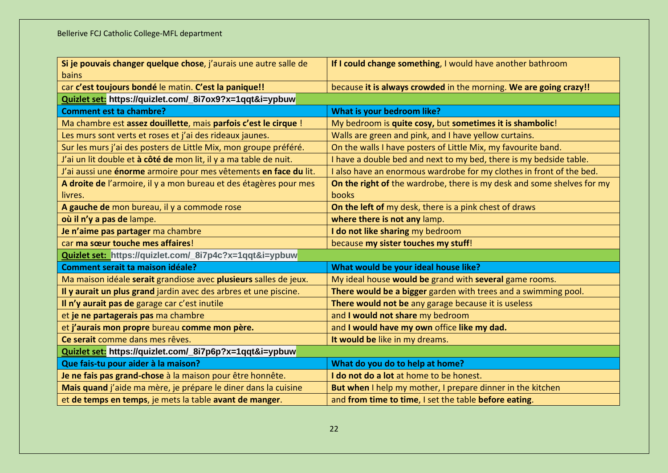| Si je pouvais changer quelque chose, j'aurais une autre salle de  | If I could change something, I would have another bathroom             |  |  |
|-------------------------------------------------------------------|------------------------------------------------------------------------|--|--|
| bains                                                             |                                                                        |  |  |
| car c'est toujours bondé le matin. C'est la panique!!             | because it is always crowded in the morning. We are going crazy!!      |  |  |
| Quizlet set: https://quizlet.com/_8i7ox9?x=1qqt&i=ypbuw           |                                                                        |  |  |
| <b>Comment est ta chambre?</b>                                    | What is your bedroom like?                                             |  |  |
| Ma chambre est assez douillette, mais parfois c'est le cirque !   | My bedroom is quite cosy, but sometimes it is shambolic!               |  |  |
| Les murs sont verts et roses et j'ai des rideaux jaunes.          | Walls are green and pink, and I have yellow curtains.                  |  |  |
| Sur les murs j'ai des posters de Little Mix, mon groupe préféré.  | On the walls I have posters of Little Mix, my favourite band.          |  |  |
| J'ai un lit double et à côté de mon lit, il y a ma table de nuit. | I have a double bed and next to my bed, there is my bedside table.     |  |  |
| J'ai aussi une énorme armoire pour mes vêtements en face du lit.  | I also have an enormous wardrobe for my clothes in front of the bed.   |  |  |
| A droite de l'armoire, il y a mon bureau et des étagères pour mes | On the right of the wardrobe, there is my desk and some shelves for my |  |  |
| livres.                                                           | <b>books</b>                                                           |  |  |
| A gauche de mon bureau, il y a commode rose                       | On the left of my desk, there is a pink chest of draws                 |  |  |
| où il n'y a pas de lampe.                                         | where there is not any lamp.                                           |  |  |
| Je n'aime pas partager ma chambre                                 | I do not like sharing my bedroom                                       |  |  |
| car ma sœur touche mes affaires!                                  | because my sister touches my stuff!                                    |  |  |
| Quizlet set: https://quizlet.com/_8i7p4c?x=1qqt&i=ypbuw           |                                                                        |  |  |
| Comment serait ta maison idéale?                                  | What would be your ideal house like?                                   |  |  |
| Ma maison idéale serait grandiose avec plusieurs salles de jeux.  | My ideal house would be grand with several game rooms.                 |  |  |
| Il y aurait un plus grand jardin avec des arbres et une piscine.  | There would be a bigger garden with trees and a swimming pool.         |  |  |
| Il n'y aurait pas de garage car c'est inutile                     | There would not be any garage because it is useless                    |  |  |
| et je ne partagerais pas ma chambre                               | and I would not share my bedroom                                       |  |  |
| et j'aurais mon propre bureau comme mon père.                     | and I would have my own office like my dad.                            |  |  |
| Ce serait comme dans mes rêves.                                   | It would be like in my dreams.                                         |  |  |
| Quizlet set: https://quizlet.com/_8i7p6p?x=1qqt&i=ypbuw           |                                                                        |  |  |
| Que fais-tu pour aider à la maison?                               | What do you do to help at home?                                        |  |  |
| Je ne fais pas grand-chose à la maison pour être honnête.         | I do not do a lot at home to be honest.                                |  |  |
| Mais quand j'aide ma mère, je prépare le diner dans la cuisine    | But when I help my mother, I prepare dinner in the kitchen             |  |  |
| et de temps en temps, je mets la table avant de manger.           | and from time to time, I set the table before eating.                  |  |  |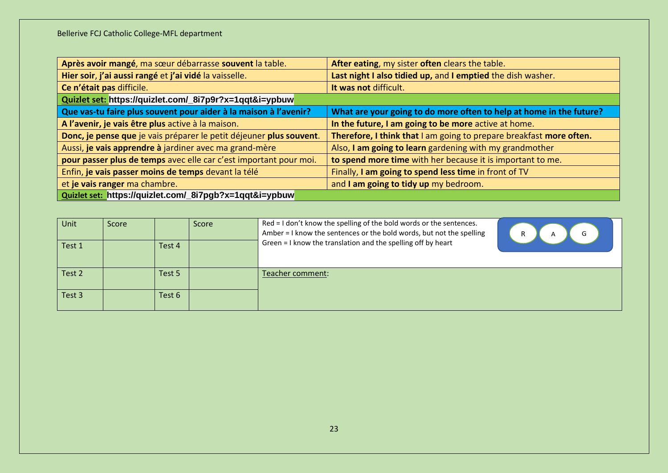| Après avoir mangé, ma sœur débarrasse souvent la table.             | After eating, my sister often clears the table.                     |
|---------------------------------------------------------------------|---------------------------------------------------------------------|
| Hier soir, j'ai aussi rangé et j'ai vidé la vaisselle.              | Last night I also tidied up, and I emptied the dish washer.         |
| Ce n'était pas difficile.                                           | It was not difficult.                                               |
| Quizlet set: https://quizlet.com/_8i7p9r?x=1qqt&i=ypbuw             |                                                                     |
| Que vas-tu faire plus souvent pour aider à la maison à l'avenir?    | What are your going to do more often to help at home in the future? |
| A l'avenir, je vais être plus active à la maison.                   | In the future, I am going to be more active at home.                |
| Donc, je pense que je vais préparer le petit déjeuner plus souvent. | Therefore, I think that I am going to prepare breakfast more often. |
| Aussi, je vais apprendre à jardiner avec ma grand-mère              | Also, I am going to learn gardening with my grandmother             |
| pour passer plus de temps avec elle car c'est important pour moi.   | to spend more time with her because it is important to me.          |
| Enfin, je vais passer moins de temps devant la télé                 | Finally, I am going to spend less time in front of TV               |
| et je vais ranger ma chambre.                                       | and I am going to tidy up my bedroom.                               |
| Quizlet set: https://quizlet.com/_8i7pgb?x=1qqt&i=ypbuw             |                                                                     |

| Unit   | Score |        | <b>Score</b> | Red = I don't know the spelling of the bold words or the sentences.<br>Amber = I know the sentences or the bold words, but not the spelling | R<br>G<br>A |
|--------|-------|--------|--------------|---------------------------------------------------------------------------------------------------------------------------------------------|-------------|
| Test 1 |       | Test 4 |              | Green = I know the translation and the spelling off by heart                                                                                |             |
| Test 2 |       | Test 5 |              | Teacher comment:                                                                                                                            |             |
| Test 3 |       | Test 6 |              |                                                                                                                                             |             |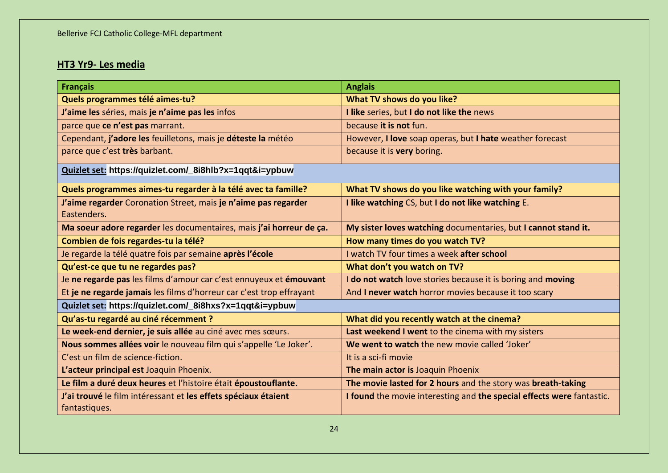# **HT3 Yr9- Les media**

| <b>Français</b>                                                      | <b>Anglais</b>                                                        |
|----------------------------------------------------------------------|-----------------------------------------------------------------------|
| Quels programmes télé aimes-tu?                                      | What TV shows do you like?                                            |
| J'aime les séries, mais je n'aime pas les infos                      | I like series, but I do not like the news                             |
| parce que ce n'est pas marrant.                                      | because it is not fun.                                                |
| Cependant, j'adore les feuilletons, mais je déteste la météo         | However, I love soap operas, but I hate weather forecast              |
| parce que c'est très barbant.                                        | because it is very boring.                                            |
| Quizlet set: https://quizlet.com/_8i8hlb?x=1qqt&i=ypbuw              |                                                                       |
| Quels programmes aimes-tu regarder à la télé avec ta famille?        | What TV shows do you like watching with your family?                  |
| J'aime regarder Coronation Street, mais je n'aime pas regarder       | I like watching CS, but I do not like watching E.                     |
| Eastenders.                                                          |                                                                       |
| Ma soeur adore regarder les documentaires, mais j'ai horreur de ça.  | My sister loves watching documentaries, but I cannot stand it.        |
| Combien de fois regardes-tu la télé?                                 | How many times do you watch TV?                                       |
| Je regarde la télé quatre fois par semaine après l'école             | I watch TV four times a week after school                             |
| Qu'est-ce que tu ne regardes pas?                                    | What don't you watch on TV?                                           |
| Je ne regarde pas les films d'amour car c'est ennuyeux et émouvant   | I do not watch love stories because it is boring and moving           |
| Et je ne regarde jamais les films d'horreur car c'est trop effrayant | And I never watch horror movies because it too scary                  |
| Quizlet set: https://quizlet.com/_8i8hxs?x=1qqt&i=ypbuw              |                                                                       |
| Qu'as-tu regardé au ciné récemment ?                                 | What did you recently watch at the cinema?                            |
| Le week-end dernier, je suis allée au ciné avec mes sœurs.           | Last weekend I went to the cinema with my sisters                     |
| Nous sommes allées voir le nouveau film qui s'appelle 'Le Joker'.    | We went to watch the new movie called 'Joker'                         |
| C'est un film de science-fiction.                                    | It is a sci-fi movie                                                  |
| L'acteur principal est Joaquin Phoenix.                              | The main actor is Joaquin Phoenix                                     |
| Le film a duré deux heures et l'histoire était époustouflante.       | The movie lasted for 2 hours and the story was breath-taking          |
| J'ai trouvé le film intéressant et les effets spéciaux étaient       | I found the movie interesting and the special effects were fantastic. |
| fantastiques.                                                        |                                                                       |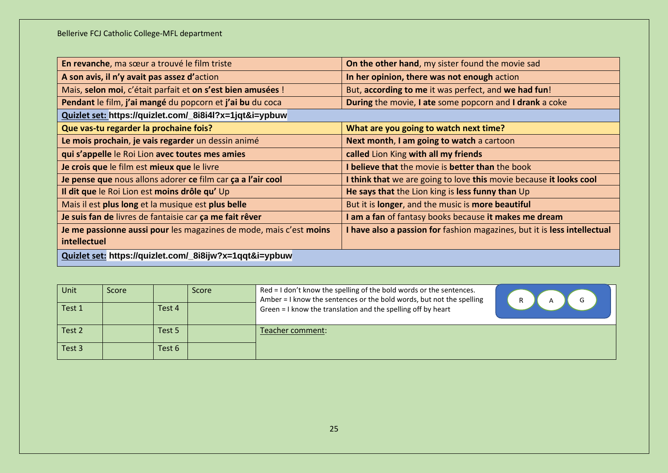| En revanche, ma sœur a trouvé le film triste                       | On the other hand, my sister found the movie sad                         |
|--------------------------------------------------------------------|--------------------------------------------------------------------------|
| A son avis, il n'y avait pas assez d'action                        | In her opinion, there was not enough action                              |
| Mais, selon moi, c'était parfait et on s'est bien amusées !        | But, according to me it was perfect, and we had fun!                     |
| Pendant le film, j'ai mangé du popcorn et j'ai bu du coca          | During the movie, I ate some popcorn and I drank a coke                  |
| Quizlet set: https://quizlet.com/_8i8i4l?x=1jqt&i=ypbuw            |                                                                          |
| Que vas-tu regarder la prochaine fois?                             | What are you going to watch next time?                                   |
| Le mois prochain, je vais regarder un dessin animé                 | Next month, I am going to watch a cartoon                                |
| qui s'appelle le Roi Lion avec toutes mes amies                    | called Lion King with all my friends                                     |
| Je crois que le film est mieux que le livre                        | I believe that the movie is better than the book                         |
| Je pense que nous allons adorer ce film car ça a l'air cool        | I think that we are going to love this movie because it looks cool       |
| Il dit que le Roi Lion est moins drôle qu' Up                      | He says that the Lion king is less funny than Up                         |
| Mais il est plus long et la musique est plus belle                 | But it is longer, and the music is more beautiful                        |
| Je suis fan de livres de fantaisie car ça me fait rêver            | I am a fan of fantasy books because it makes me dream                    |
| Je me passionne aussi pour les magazines de mode, mais c'est moins | I have also a passion for fashion magazines, but it is less intellectual |
| intellectuel                                                       |                                                                          |
| Quizlet set: https://quizlet.com/_8i8ijw?x=1qqt&i=ypbuw            |                                                                          |

| Unit   | <b>Score</b> |        | Score | Red = I don't know the spelling of the bold words or the sentences.<br>Amber = I know the sentences or the bold words, but not the spelling<br>R. |  |
|--------|--------------|--------|-------|---------------------------------------------------------------------------------------------------------------------------------------------------|--|
| Test 1 |              | Test 4 |       | Green = I know the translation and the spelling off by heart                                                                                      |  |
| Test 2 |              | Test 5 |       | Teacher comment:                                                                                                                                  |  |
| Test 3 |              | Test 6 |       |                                                                                                                                                   |  |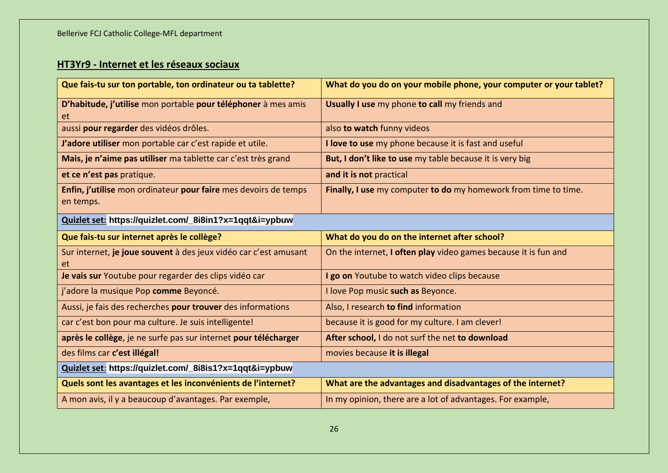# **HT3Yr9 - Internet et les réseaux sociaux**

| Que fais-tu sur ton portable, ton ordinateur ou ta tablette?                 | What do you do on your mobile phone, your computer or your tablet? |
|------------------------------------------------------------------------------|--------------------------------------------------------------------|
| D'habitude, j'utilise mon portable pour téléphoner à mes amis<br>et          | Usually I use my phone to call my friends and                      |
| aussi pour regarder des vidéos drôles.                                       | also to watch funny videos                                         |
| J'adore utiliser mon portable car c'est rapide et utile.                     | I love to use my phone because it is fast and useful               |
| Mais, je n'aime pas utiliser ma tablette car c'est très grand                | But, I don't like to use my table because it is very big           |
| et ce n'est pas pratique.                                                    | and it is not practical                                            |
| Enfin, j'utilise mon ordinateur pour faire mes devoirs de temps<br>en temps. | Finally, I use my computer to do my homework from time to time.    |
| Quizlet set: https://quizlet.com/_8i8in1?x=1qqt&i=ypbuw                      |                                                                    |
| Que fais-tu sur internet après le collège?                                   | What do you do on the internet after school?                       |
| Sur internet, je joue souvent à des jeux vidéo car c'est amusant<br>et.      | On the internet, I often play video games because it is fun and    |
| Je vais sur Youtube pour regarder des clips vidéo car                        | I go on Youtube to watch video clips because                       |
| j'adore la musique Pop comme Beyoncé.                                        |                                                                    |
|                                                                              | I love Pop music such as Beyonce.                                  |
| Aussi, je fais des recherches pour trouver des informations                  | Also, I research to find information                               |
| car c'est bon pour ma culture. Je suis intelligente!                         | because it is good for my culture. I am clever!                    |
| après le collège, je ne surfe pas sur internet pour télécharger              | After school, I do not surf the net to download                    |
| des films car c'est illégal!                                                 | movies because it is illegal                                       |
| Quizlet set: https://quizlet.com/_8i8is1?x=1qqt&i=ypbuw                      |                                                                    |
| Quels sont les avantages et les inconvénients de l'internet?                 | What are the advantages and disadvantages of the internet?         |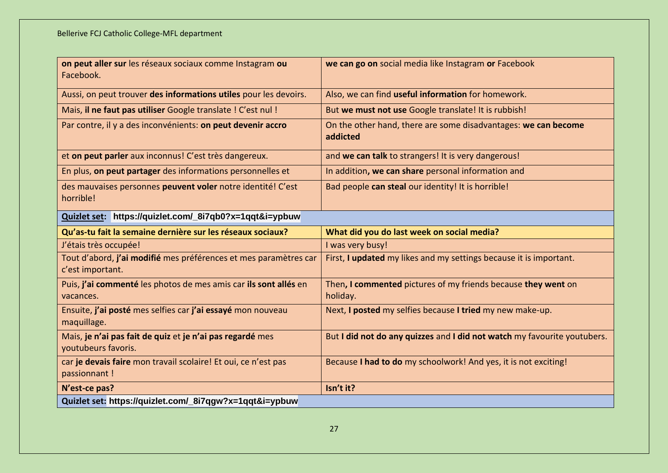| on peut aller sur les réseaux sociaux comme Instagram ou<br>Facebook.                | we can go on social media like Instagram or Facebook                       |  |  |
|--------------------------------------------------------------------------------------|----------------------------------------------------------------------------|--|--|
| Aussi, on peut trouver des informations utiles pour les devoirs.                     | Also, we can find useful information for homework.                         |  |  |
| Mais, il ne faut pas utiliser Google translate ! C'est nul !                         | But we must not use Google translate! It is rubbish!                       |  |  |
| Par contre, il y a des inconvénients: on peut devenir accro                          | On the other hand, there are some disadvantages: we can become<br>addicted |  |  |
| et on peut parler aux inconnus! C'est très dangereux.                                | and we can talk to strangers! It is very dangerous!                        |  |  |
| En plus, on peut partager des informations personnelles et                           | In addition, we can share personal information and                         |  |  |
| des mauvaises personnes peuvent voler notre identité! C'est<br>horrible!             | Bad people can steal our identity! It is horrible!                         |  |  |
| Quizlet set: https://quizlet.com/_8i7qb0?x=1qqt&i=ypbuw                              |                                                                            |  |  |
| Qu'as-tu fait la semaine dernière sur les réseaux sociaux?                           | What did you do last week on social media?                                 |  |  |
| J'étais très occupée!                                                                | I was very busy!                                                           |  |  |
| Tout d'abord, j'ai modifié mes préférences et mes paramètres car<br>c'est important. | First, I updated my likes and my settings because it is important.         |  |  |
| Puis, j'ai commenté les photos de mes amis car ils sont allés en<br>vacances.        | Then, I commented pictures of my friends because they went on<br>holiday.  |  |  |
| Ensuite, j'ai posté mes selfies car j'ai essayé mon nouveau<br>maquillage.           | Next, I posted my selfies because I tried my new make-up.                  |  |  |
| Mais, je n'ai pas fait de quiz et je n'ai pas regardé mes<br>youtubeurs favoris.     | But I did not do any quizzes and I did not watch my favourite youtubers.   |  |  |
| car je devais faire mon travail scolaire! Et oui, ce n'est pas<br>passionnant !      | Because I had to do my schoolwork! And yes, it is not exciting!            |  |  |
| N'est-ce pas?                                                                        | Isn't it?                                                                  |  |  |
| Quizlet set: https://quizlet.com/_8i7qgw?x=1qqt&i=ypbuw                              |                                                                            |  |  |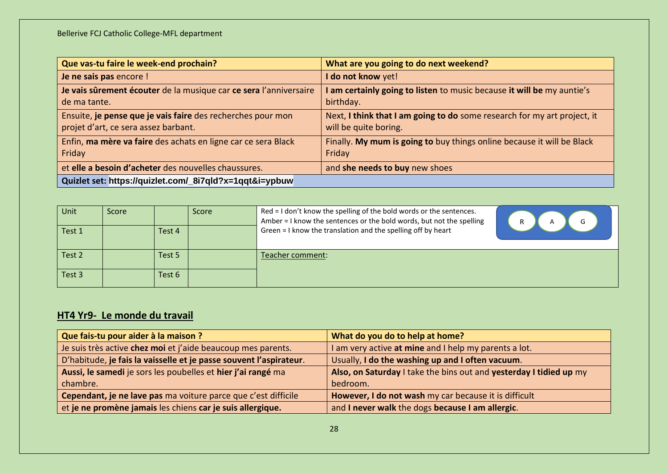| Que vas-tu faire le week-end prochain?                                                              | What are you going to do next weekend?                                                            |  |  |  |  |
|-----------------------------------------------------------------------------------------------------|---------------------------------------------------------------------------------------------------|--|--|--|--|
| Je ne sais pas encore !                                                                             | I do not know yet!                                                                                |  |  |  |  |
| Je vais sûrement écouter de la musique car ce sera l'anniversaire<br>de ma tante.                   | am certainly going to listen to music because it will be my auntie's<br>birthday.                 |  |  |  |  |
| Ensuite, je pense que je vais faire des recherches pour mon<br>projet d'art, ce sera assez barbant. | Next, I think that I am going to do some research for my art project, it<br>will be quite boring. |  |  |  |  |
| Enfin, ma mère va faire des achats en ligne car ce sera Black<br>Friday                             | Finally. My mum is going to buy things online because it will be Black<br>Friday                  |  |  |  |  |
| et elle a besoin d'acheter des nouvelles chaussures.                                                | and she needs to buy new shoes                                                                    |  |  |  |  |
| Quizlet set: https://quizlet.com/_8i7qld?x=1qqt&i=ypbuw                                             |                                                                                                   |  |  |  |  |

| Unit   | Score |        | Score | Red = I don't know the spelling of the bold words or the sentences.<br>Amber = I know the sentences or the bold words, but not the spelling | $\mathsf{R}$ |
|--------|-------|--------|-------|---------------------------------------------------------------------------------------------------------------------------------------------|--------------|
| Test 1 |       | Test 4 |       | Green = I know the translation and the spelling off by heart                                                                                |              |
| Test 2 |       | Test 5 |       | Teacher comment:                                                                                                                            |              |
| Test 3 |       | Test 6 |       |                                                                                                                                             |              |

# **HT4 Yr9- Le monde du travail**

| Que fais-tu pour aider à la maison ?                               | What do you do to help at home?                                    |
|--------------------------------------------------------------------|--------------------------------------------------------------------|
| Je suis très active chez moi et j'aide beaucoup mes parents.       | I am very active at mine and I help my parents a lot.              |
| D'habitude, je fais la vaisselle et je passe souvent l'aspirateur. | Usually, I do the washing up and I often vacuum.                   |
| Aussi, le samedi je sors les poubelles et hier j'ai rangé ma       | Also, on Saturday I take the bins out and yesterday I tidied up my |
| chambre.                                                           | bedroom.                                                           |
| Cependant, je ne lave pas ma voiture parce que c'est difficile     | However, I do not wash my car because it is difficult              |
| et je ne promène jamais les chiens car je suis allergique.         | and I never walk the dogs because I am allergic.                   |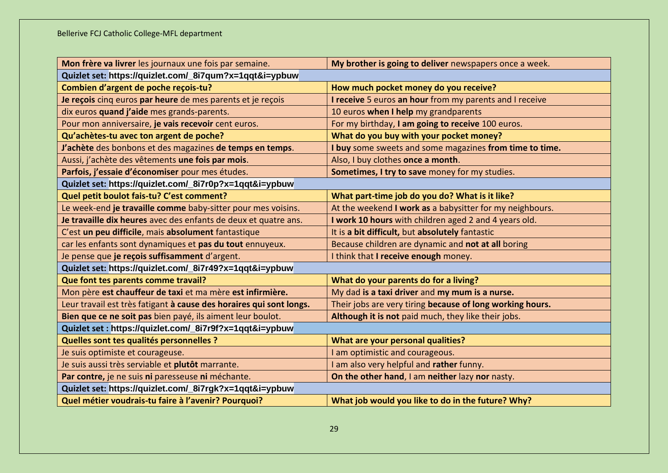| Mon frère va livrer les journaux une fois par semaine.              | My brother is going to deliver newspapers once a week.    |  |  |  |  |
|---------------------------------------------------------------------|-----------------------------------------------------------|--|--|--|--|
| Quizlet set: https://quizlet.com/_8i7qum?x=1qqt&i=ypbuw             |                                                           |  |  |  |  |
| Combien d'argent de poche reçois-tu?                                | How much pocket money do you receive?                     |  |  |  |  |
| Je reçois cinq euros par heure de mes parents et je reçois          | I receive 5 euros an hour from my parents and I receive   |  |  |  |  |
| dix euros quand j'aide mes grands-parents.                          | 10 euros when I help my grandparents                      |  |  |  |  |
| Pour mon anniversaire, je vais recevoir cent euros.                 | For my birthday, I am going to receive 100 euros.         |  |  |  |  |
| Qu'achètes-tu avec ton argent de poche?                             | What do you buy with your pocket money?                   |  |  |  |  |
| J'achète des bonbons et des magazines de temps en temps.            | I buy some sweets and some magazines from time to time.   |  |  |  |  |
| Aussi, j'achète des vêtements une fois par mois.                    | Also, I buy clothes once a month.                         |  |  |  |  |
| Parfois, j'essaie d'économiser pour mes études.                     | Sometimes, I try to save money for my studies.            |  |  |  |  |
| Quizlet set: https://quizlet.com/_8i7r0p?x=1qqt&i=ypbuw             |                                                           |  |  |  |  |
| Quel petit boulot fais-tu? C'est comment?                           | What part-time job do you do? What is it like?            |  |  |  |  |
| Le week-end je travaille comme baby-sitter pour mes voisins.        | At the weekend I work as a babysitter for my neighbours.  |  |  |  |  |
| Je travaille dix heures avec des enfants de deux et quatre ans.     | I work 10 hours with children aged 2 and 4 years old.     |  |  |  |  |
| C'est un peu difficile, mais absolument fantastique                 | It is a bit difficult, but absolutely fantastic           |  |  |  |  |
| car les enfants sont dynamiques et pas du tout ennuyeux.            | Because children are dynamic and not at all boring        |  |  |  |  |
| Je pense que je reçois suffisamment d'argent.                       | I think that I receive enough money.                      |  |  |  |  |
| Quizlet set: https://quizlet.com/_8i7r49?x=1qqt&i=ypbuw             |                                                           |  |  |  |  |
| Que font tes parents comme travail?                                 | What do your parents do for a living?                     |  |  |  |  |
| Mon père est chauffeur de taxi et ma mère est infirmière.           | My dad is a taxi driver and my mum is a nurse.            |  |  |  |  |
| Leur travail est très fatigant à cause des horaires qui sont longs. | Their jobs are very tiring because of long working hours. |  |  |  |  |
| Bien que ce ne soit pas bien payé, ils aiment leur boulot.          | Although it is not paid much, they like their jobs.       |  |  |  |  |
| Quizlet set : https://quizlet.com/_8i7r9f?x=1qqt&i=ypbuw            |                                                           |  |  |  |  |
| Quelles sont tes qualités personnelles ?                            | What are your personal qualities?                         |  |  |  |  |
| Je suis optimiste et courageuse.                                    | I am optimistic and courageous.                           |  |  |  |  |
| Je suis aussi très serviable et plutôt marrante.                    | I am also very helpful and rather funny.                  |  |  |  |  |
| Par contre, je ne suis ni paresseuse ni méchante.                   | On the other hand, I am neither lazy nor nasty.           |  |  |  |  |
| Quizlet set: https://quizlet.com/_8i7rgk?x=1qqt&i=ypbuw             |                                                           |  |  |  |  |
| Quel métier voudrais-tu faire à l'avenir? Pourquoi?                 | What job would you like to do in the future? Why?         |  |  |  |  |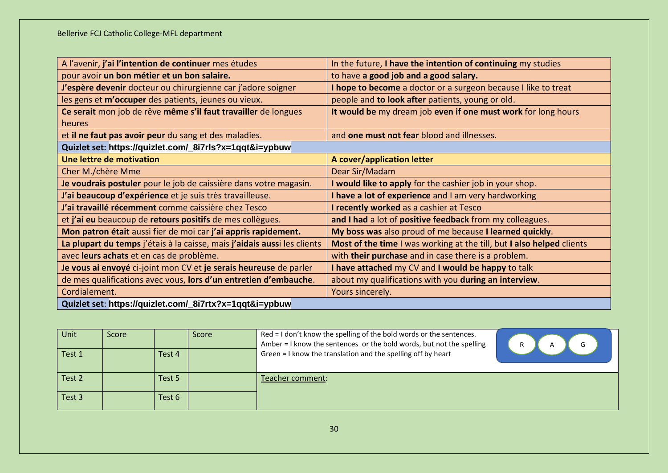| A l'avenir, j'ai l'intention de continuer mes études                     | In the future, I have the intention of continuing my studies          |  |  |  |
|--------------------------------------------------------------------------|-----------------------------------------------------------------------|--|--|--|
| pour avoir un bon métier et un bon salaire.                              | to have a good job and a good salary.                                 |  |  |  |
| J'espère devenir docteur ou chirurgienne car j'adore soigner             | I hope to become a doctor or a surgeon because I like to treat        |  |  |  |
| les gens et m'occuper des patients, jeunes ou vieux.                     | people and to look after patients, young or old.                      |  |  |  |
| Ce serait mon job de rêve même s'il faut travailler de longues           | It would be my dream job even if one must work for long hours         |  |  |  |
| heures                                                                   |                                                                       |  |  |  |
| et il ne faut pas avoir peur du sang et des maladies.                    | and one must not fear blood and illnesses.                            |  |  |  |
| Quizlet set: https://quizlet.com/_8i7rls?x=1qqt&i=ypbuw                  |                                                                       |  |  |  |
| Une lettre de motivation                                                 | A cover/application letter                                            |  |  |  |
| Cher M./chère Mme                                                        | Dear Sir/Madam                                                        |  |  |  |
| Je voudrais postuler pour le job de caissière dans votre magasin.        | I would like to apply for the cashier job in your shop.               |  |  |  |
| J'ai beaucoup d'expérience et je suis très travailleuse.                 | I have a lot of experience and I am very hardworking                  |  |  |  |
| J'ai travaillé récemment comme caissière chez Tesco                      | I recently worked as a cashier at Tesco                               |  |  |  |
| et j'ai eu beaucoup de retours positifs de mes collègues.                | and I had a lot of positive feedback from my colleagues.              |  |  |  |
| Mon patron était aussi fier de moi car j'ai appris rapidement.           | My boss was also proud of me because I learned quickly.               |  |  |  |
| La plupart du temps j'étais à la caisse, mais j'aidais aussi les clients | Most of the time I was working at the till, but I also helped clients |  |  |  |
| avec leurs achats et en cas de problème.                                 | with their purchase and in case there is a problem.                   |  |  |  |
| Je vous ai envoyé ci-joint mon CV et je serais heureuse de parler        | I have attached my CV and I would be happy to talk                    |  |  |  |
| de mes qualifications avec vous, lors d'un entretien d'embauche.         | about my qualifications with you during an interview.                 |  |  |  |
| Cordialement.                                                            | Yours sincerely.                                                      |  |  |  |
| Quizlet set: https://quizlet.com/_8i7rtx?x=1qqt&i=ypbuw                  |                                                                       |  |  |  |

| Unit   | Score |        | Score | Red = I don't know the spelling of the bold words or the sentences.<br>Amber = I know the sentences or the bold words, but not the spelling | R<br>A |
|--------|-------|--------|-------|---------------------------------------------------------------------------------------------------------------------------------------------|--------|
| Test 1 |       | Test 4 |       | Green = I know the translation and the spelling off by heart                                                                                |        |
| Test 2 |       | Test 5 |       | Teacher comment:                                                                                                                            |        |
| Test 3 |       | Test 6 |       |                                                                                                                                             |        |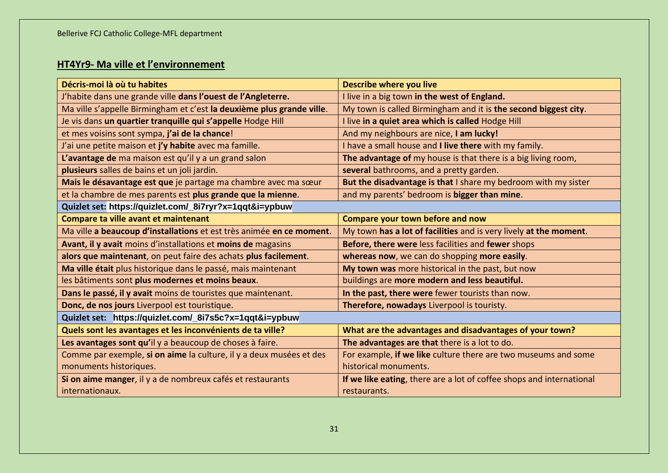# **HT4Yr9- Ma ville et l'environnement**

| Décris-moi là où tu habites                                           | <b>Describe where you live</b>                                       |
|-----------------------------------------------------------------------|----------------------------------------------------------------------|
| J'habite dans une grande ville dans l'ouest de l'Angleterre.          | I live in a big town in the west of England.                         |
| Ma ville s'appelle Birmingham et c'est la deuxième plus grande ville. | My town is called Birmingham and it is the second biggest city.      |
| Je vis dans un quartier tranquille qui s'appelle Hodge Hill           | I live in a quiet area which is called Hodge Hill                    |
| et mes voisins sont sympa, j'ai de la chance!                         | And my neighbours are nice, I am lucky!                              |
| J'ai une petite maison et j'y habite avec ma famille.                 | I have a small house and I live there with my family.                |
| L'avantage de ma maison est qu'il y a un grand salon                  | The advantage of my house is that there is a big living room,        |
| plusieurs salles de bains et un joli jardin.                          | several bathrooms, and a pretty garden.                              |
| Mais le désavantage est que je partage ma chambre avec ma sœur        | But the disadvantage is that I share my bedroom with my sister       |
| et la chambre de mes parents est plus grande que la mienne.           | and my parents' bedroom is bigger than mine.                         |
| Quizlet set: https://quizlet.com/_8i7ryr?x=1qqt&i=ypbuw               |                                                                      |
| Compare ta ville avant et maintenant                                  | Compare your town before and now                                     |
| Ma ville a beaucoup d'installations et est très animée en ce moment.  | My town has a lot of facilities and is very lively at the moment.    |
| Avant, il y avait moins d'installations et moins de magasins          | Before, there were less facilities and fewer shops                   |
| alors que maintenant, on peut faire des achats plus facilement.       | whereas now, we can do shopping more easily.                         |
| Ma ville était plus historique dans le passé, mais maintenant         | My town was more historical in the past, but now                     |
| les bâtiments sont plus modernes et moins beaux.                      | buildings are more modern and less beautiful.                        |
| Dans le passé, il y avait moins de touristes que maintenant.          | In the past, there were fewer tourists than now.                     |
| Donc, de nos jours Liverpool est touristique.                         | Therefore, nowadays Liverpool is touristy.                           |
| Quizlet set: https://quizlet.com/_8i7s5c?x=1qqt&i=ypbuw               |                                                                      |
| Quels sont les avantages et les inconvénients de ta ville?            | What are the advantages and disadvantages of your town?              |
| Les avantages sont qu'il y a beaucoup de choses à faire.              | The advantages are that there is a lot to do.                        |
| Comme par exemple, si on aime la culture, il y a deux musées et des   | For example, if we like culture there are two museums and some       |
| monuments historiques.                                                | historical monuments.                                                |
| Si on aime manger, il y a de nombreux cafés et restaurants            | If we like eating, there are a lot of coffee shops and international |
| internationaux.                                                       | restaurants.                                                         |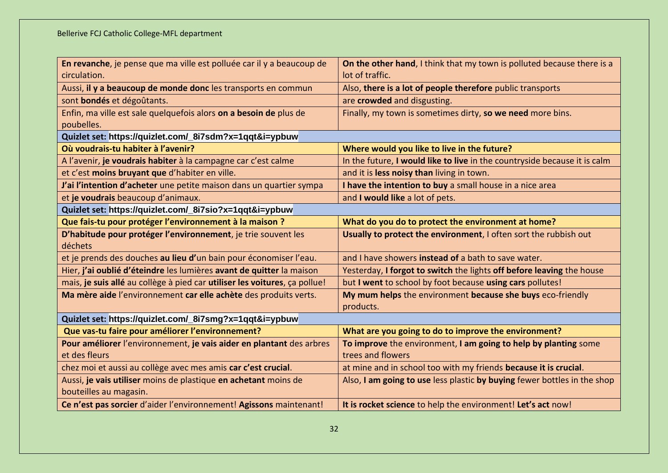| En revanche, je pense que ma ville est polluée car il y a beaucoup de      | On the other hand, I think that my town is polluted because there is a    |
|----------------------------------------------------------------------------|---------------------------------------------------------------------------|
| circulation.                                                               | lot of traffic.                                                           |
| Aussi, il y a beaucoup de monde donc les transports en commun              | Also, there is a lot of people therefore public transports                |
| sont bondés et dégoûtants.                                                 | are crowded and disgusting.                                               |
| Enfin, ma ville est sale quelquefois alors on a besoin de plus de          | Finally, my town is sometimes dirty, so we need more bins.                |
| poubelles.                                                                 |                                                                           |
| Quizlet set: https://quizlet.com/_8i7sdm?x=1qqt&i=ypbuw                    |                                                                           |
| Où voudrais-tu habiter à l'avenir?                                         | Where would you like to live in the future?                               |
| A l'avenir, je voudrais habiter à la campagne car c'est calme              | In the future, I would like to live in the countryside because it is calm |
| et c'est moins bruyant que d'habiter en ville.                             | and it is less noisy than living in town.                                 |
| J'ai l'intention d'acheter une petite maison dans un quartier sympa        | I have the intention to buy a small house in a nice area                  |
| et je voudrais beaucoup d'animaux.                                         | and I would like a lot of pets.                                           |
| Quizlet set: https://quizlet.com/_8i7sio?x=1qqt&i=ypbuw                    |                                                                           |
| Que fais-tu pour protéger l'environnement à la maison ?                    | What do you do to protect the environment at home?                        |
| D'habitude pour protéger l'environnement, je trie souvent les<br>déchets   | Usually to protect the environment, I often sort the rubbish out          |
| et je prends des douches au lieu d'un bain pour économiser l'eau.          | and I have showers <b>instead of</b> a bath to save water.                |
| Hier, j'ai oublié d'éteindre les lumières avant de quitter la maison       | Yesterday, I forgot to switch the lights off before leaving the house     |
| mais, je suis allé au collège à pied car utiliser les voitures, ça pollue! | but I went to school by foot because using cars pollutes!                 |
| Ma mère aide l'environnement car elle achète des produits verts.           | My mum helps the environment because she buys eco-friendly<br>products.   |
| Quizlet set: https://quizlet.com/_8i7smg?x=1qqt&i=ypbuw                    |                                                                           |
| Que vas-tu faire pour améliorer l'environnement?                           | What are you going to do to improve the environment?                      |
| Pour améliorer l'environnement, je vais aider en plantant des arbres       | To improve the environment, I am going to help by planting some           |
| et des fleurs                                                              | trees and flowers                                                         |
| chez moi et aussi au collège avec mes amis car c'est crucial.              | at mine and in school too with my friends because it is crucial.          |
| Aussi, je vais utiliser moins de plastique en achetant moins de            | Also, I am going to use less plastic by buying fewer bottles in the shop  |
| bouteilles au magasin.                                                     |                                                                           |
| Ce n'est pas sorcier d'aider l'environnement! Agissons maintenant!         | It is rocket science to help the environment! Let's act now!              |